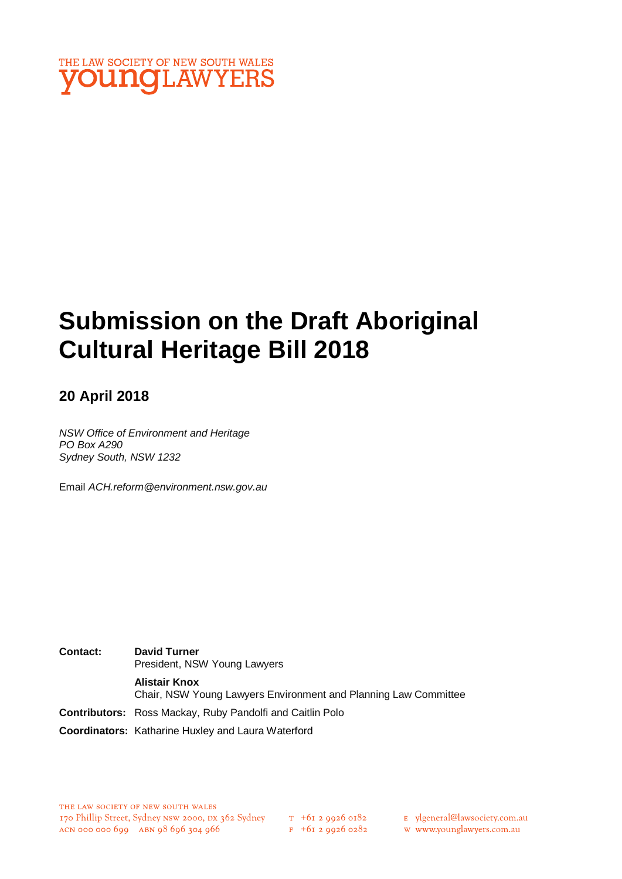

# **Submission on the Draft Aboriginal Cultural Heritage Bill 2018**

# **20 April 2018**

*NSW Office of Environment and Heritage PO Box A290 Sydney South, NSW 1232*

Email *ACH.reform@environment.nsw.gov.au*

**Contact: David Turner** President, NSW Young Lawyers **Alistair Knox** Chair, NSW Young Lawyers Environment and Planning Law Committee **Contributors:** Ross Mackay, Ruby Pandolfi and Caitlin Polo **Coordinators:** Katharine Huxley and Laura Waterford

 $F + 6I$  2 9926 0282

E ylgeneral@lawsociety.com.au

w www.younglawyers.com.au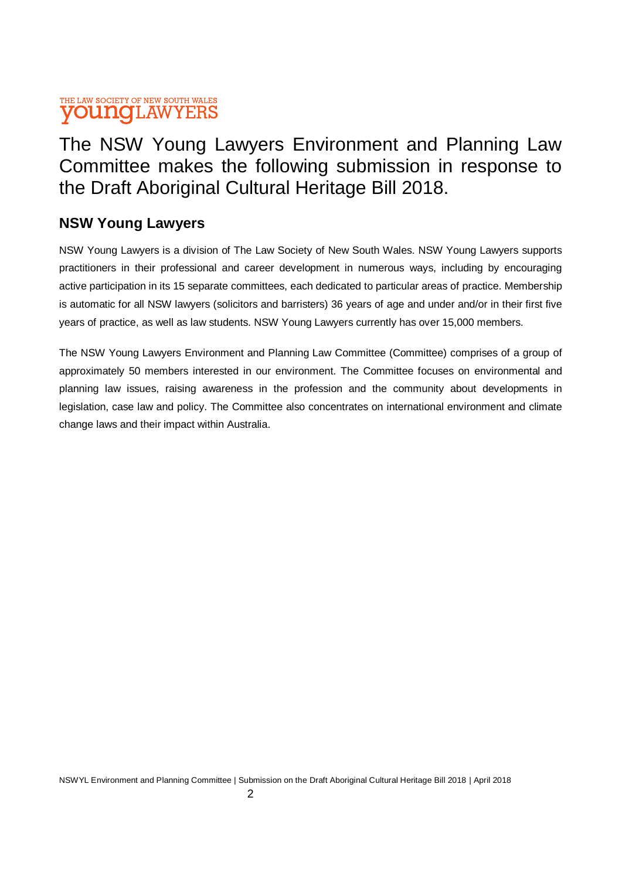# The NSW Young Lawyers Environment and Planning Law Committee makes the following submission in response to the Draft Aboriginal Cultural Heritage Bill 2018.

# **NSW Young Lawyers**

NSW Young Lawyers is a division of The Law Society of New South Wales. NSW Young Lawyers supports practitioners in their professional and career development in numerous ways, including by encouraging active participation in its 15 separate committees, each dedicated to particular areas of practice. Membership is automatic for all NSW lawyers (solicitors and barristers) 36 years of age and under and/or in their first five years of practice, as well as law students. NSW Young Lawyers currently has over 15,000 members.

The NSW Young Lawyers Environment and Planning Law Committee (Committee) comprises of a group of approximately 50 members interested in our environment. The Committee focuses on environmental and planning law issues, raising awareness in the profession and the community about developments in legislation, case law and policy. The Committee also concentrates on international environment and climate change laws and their impact within Australia.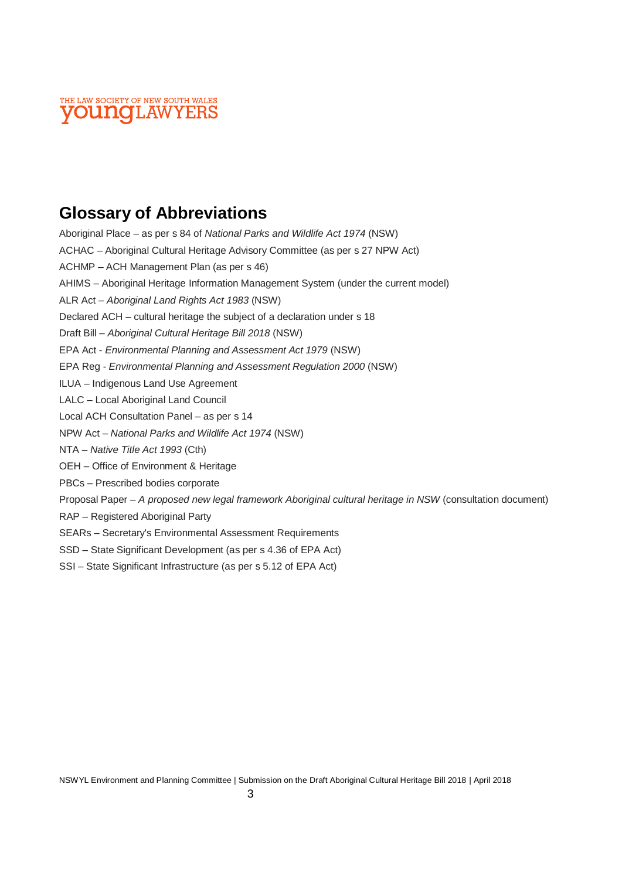

# **Glossary of Abbreviations**

Aboriginal Place – as per s 84 of *National Parks and Wildlife Act 1974* (NSW) ACHAC – Aboriginal Cultural Heritage Advisory Committee (as per s 27 NPW Act) ACHMP – ACH Management Plan (as per s 46) AHIMS – Aboriginal Heritage Information Management System (under the current model) ALR Act – *Aboriginal Land Rights Act 1983* (NSW) Declared ACH – cultural heritage the subject of a declaration under s 18 Draft Bill – *Aboriginal Cultural Heritage Bill 2018* (NSW) EPA Act - *Environmental Planning and Assessment Act 1979* (NSW) EPA Reg - *Environmental Planning and Assessment Regulation 2000* (NSW) ILUA – Indigenous Land Use Agreement LALC – Local Aboriginal Land Council Local ACH Consultation Panel – as per s 14 NPW Act – *National Parks and Wildlife Act 1974* (NSW) NTA – *Native Title Act 1993* (Cth) OEH – Office of Environment & Heritage PBCs – Prescribed bodies corporate Proposal Paper – *A proposed new legal framework Aboriginal cultural heritage in NSW* (consultation document) RAP – Registered Aboriginal Party SEARs – Secretary's Environmental Assessment Requirements SSD – State Significant Development (as per s 4.36 of EPA Act) SSI – State Significant Infrastructure (as per s 5.12 of EPA Act)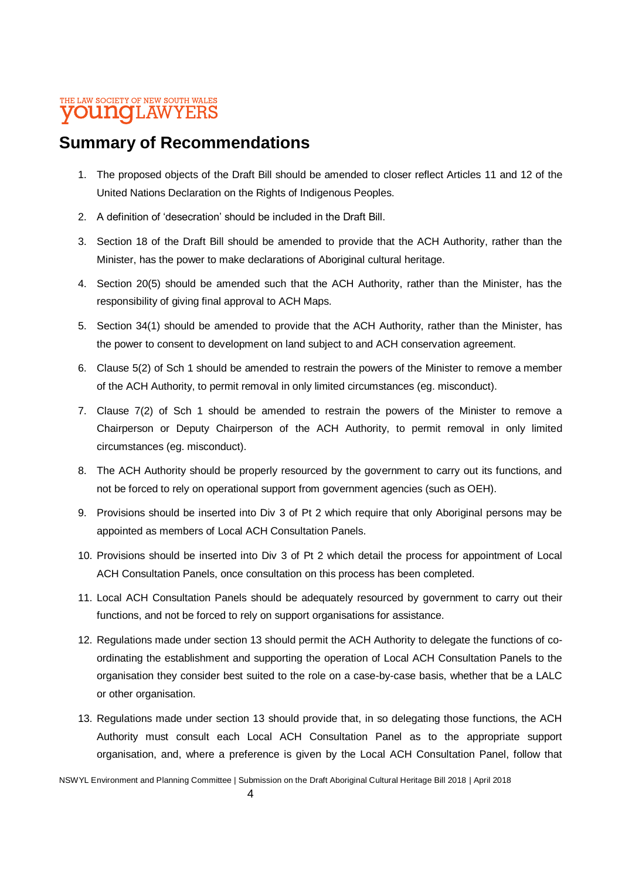# **Summary of Recommendations**

- 1. The proposed objects of the Draft Bill should be amended to closer reflect Articles 11 and 12 of the United Nations Declaration on the Rights of Indigenous Peoples.
- 2. A definition of 'desecration' should be included in the Draft Bill.
- 3. Section 18 of the Draft Bill should be amended to provide that the ACH Authority, rather than the Minister, has the power to make declarations of Aboriginal cultural heritage.
- 4. Section 20(5) should be amended such that the ACH Authority, rather than the Minister, has the responsibility of giving final approval to ACH Maps.
- 5. Section 34(1) should be amended to provide that the ACH Authority, rather than the Minister, has the power to consent to development on land subject to and ACH conservation agreement.
- 6. Clause 5(2) of Sch 1 should be amended to restrain the powers of the Minister to remove a member of the ACH Authority, to permit removal in only limited circumstances (eg. misconduct).
- 7. Clause 7(2) of Sch 1 should be amended to restrain the powers of the Minister to remove a Chairperson or Deputy Chairperson of the ACH Authority, to permit removal in only limited circumstances (eg. misconduct).
- 8. The ACH Authority should be properly resourced by the government to carry out its functions, and not be forced to rely on operational support from government agencies (such as OEH).
- 9. Provisions should be inserted into Div 3 of Pt 2 which require that only Aboriginal persons may be appointed as members of Local ACH Consultation Panels.
- 10. Provisions should be inserted into Div 3 of Pt 2 which detail the process for appointment of Local ACH Consultation Panels, once consultation on this process has been completed.
- 11. Local ACH Consultation Panels should be adequately resourced by government to carry out their functions, and not be forced to rely on support organisations for assistance.
- 12. Regulations made under section 13 should permit the ACH Authority to delegate the functions of coordinating the establishment and supporting the operation of Local ACH Consultation Panels to the organisation they consider best suited to the role on a case-by-case basis, whether that be a LALC or other organisation.
- 13. Regulations made under section 13 should provide that, in so delegating those functions, the ACH Authority must consult each Local ACH Consultation Panel as to the appropriate support organisation, and, where a preference is given by the Local ACH Consultation Panel, follow that

NSWYL Environment and Planning Committee | Submission on the Draft Aboriginal Cultural Heritage Bill 2018 | April 2018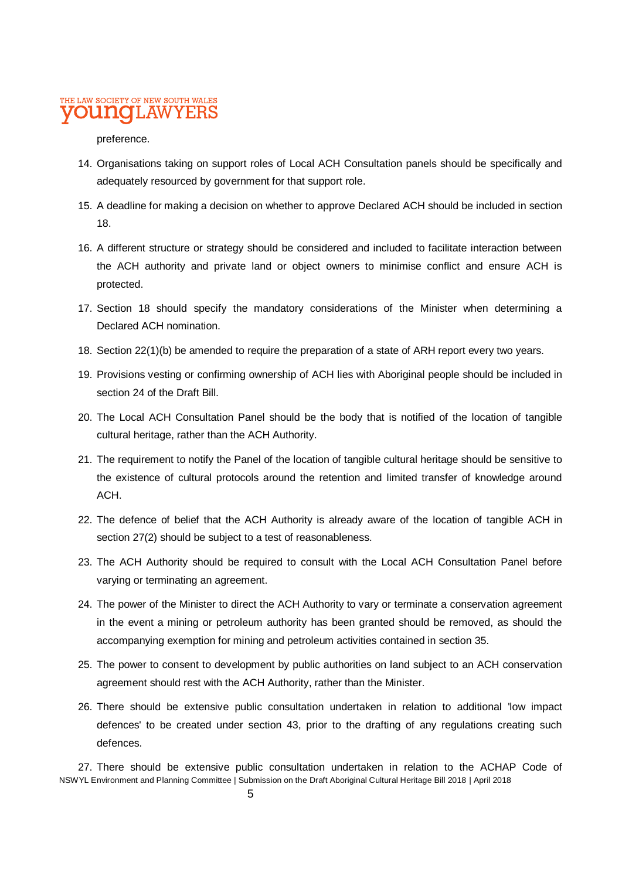#### preference.

- 14. Organisations taking on support roles of Local ACH Consultation panels should be specifically and adequately resourced by government for that support role.
- 15. A deadline for making a decision on whether to approve Declared ACH should be included in section 18.
- 16. A different structure or strategy should be considered and included to facilitate interaction between the ACH authority and private land or object owners to minimise conflict and ensure ACH is protected.
- 17. Section 18 should specify the mandatory considerations of the Minister when determining a Declared ACH nomination.
- 18. Section 22(1)(b) be amended to require the preparation of a state of ARH report every two years.
- 19. Provisions vesting or confirming ownership of ACH lies with Aboriginal people should be included in section 24 of the Draft Bill.
- 20. The Local ACH Consultation Panel should be the body that is notified of the location of tangible cultural heritage, rather than the ACH Authority.
- 21. The requirement to notify the Panel of the location of tangible cultural heritage should be sensitive to the existence of cultural protocols around the retention and limited transfer of knowledge around ACH.
- 22. The defence of belief that the ACH Authority is already aware of the location of tangible ACH in section 27(2) should be subject to a test of reasonableness.
- 23. The ACH Authority should be required to consult with the Local ACH Consultation Panel before varying or terminating an agreement.
- 24. The power of the Minister to direct the ACH Authority to vary or terminate a conservation agreement in the event a mining or petroleum authority has been granted should be removed, as should the accompanying exemption for mining and petroleum activities contained in section 35.
- 25. The power to consent to development by public authorities on land subject to an ACH conservation agreement should rest with the ACH Authority, rather than the Minister.
- 26. There should be extensive public consultation undertaken in relation to additional 'low impact defences' to be created under section 43, prior to the drafting of any regulations creating such defences.

NSWYL Environment and Planning Committee | Submission on the Draft Aboriginal Cultural Heritage Bill 2018 | April 2018 27. There should be extensive public consultation undertaken in relation to the ACHAP Code of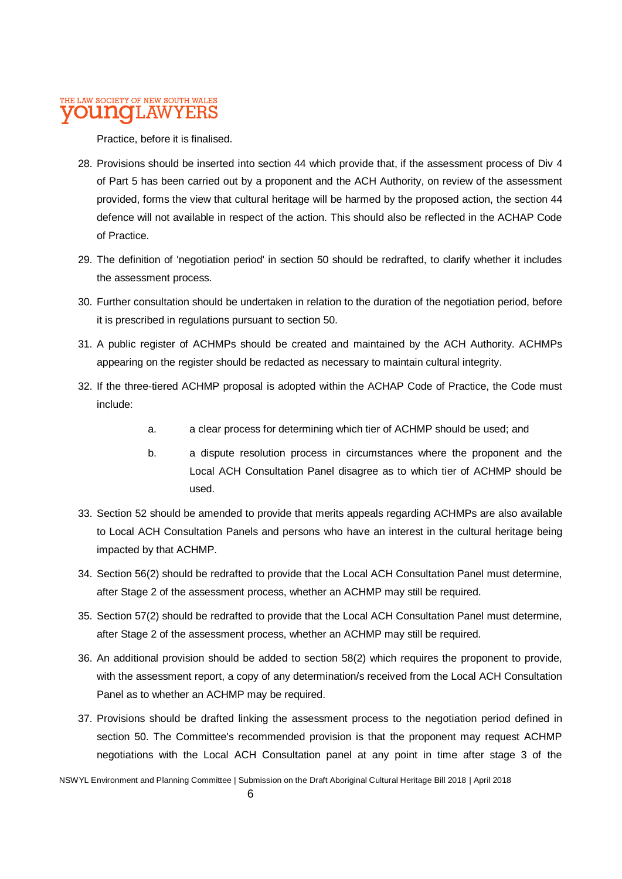Practice, before it is finalised.

- 28. Provisions should be inserted into section 44 which provide that, if the assessment process of Div 4 of Part 5 has been carried out by a proponent and the ACH Authority, on review of the assessment provided, forms the view that cultural heritage will be harmed by the proposed action, the section 44 defence will not available in respect of the action. This should also be reflected in the ACHAP Code of Practice.
- 29. The definition of 'negotiation period' in section 50 should be redrafted, to clarify whether it includes the assessment process.
- 30. Further consultation should be undertaken in relation to the duration of the negotiation period, before it is prescribed in regulations pursuant to section 50.
- 31. A public register of ACHMPs should be created and maintained by the ACH Authority. ACHMPs appearing on the register should be redacted as necessary to maintain cultural integrity.
- 32. If the three-tiered ACHMP proposal is adopted within the ACHAP Code of Practice, the Code must include:
	- a. a clear process for determining which tier of ACHMP should be used; and
	- b. a dispute resolution process in circumstances where the proponent and the Local ACH Consultation Panel disagree as to which tier of ACHMP should be used.
- 33. Section 52 should be amended to provide that merits appeals regarding ACHMPs are also available to Local ACH Consultation Panels and persons who have an interest in the cultural heritage being impacted by that ACHMP.
- 34. Section 56(2) should be redrafted to provide that the Local ACH Consultation Panel must determine, after Stage 2 of the assessment process, whether an ACHMP may still be required.
- 35. Section 57(2) should be redrafted to provide that the Local ACH Consultation Panel must determine, after Stage 2 of the assessment process, whether an ACHMP may still be required.
- 36. An additional provision should be added to section 58(2) which requires the proponent to provide, with the assessment report, a copy of any determination/s received from the Local ACH Consultation Panel as to whether an ACHMP may be required.
- 37. Provisions should be drafted linking the assessment process to the negotiation period defined in section 50. The Committee's recommended provision is that the proponent may request ACHMP negotiations with the Local ACH Consultation panel at any point in time after stage 3 of the

NSWYL Environment and Planning Committee | Submission on the Draft Aboriginal Cultural Heritage Bill 2018 | April 2018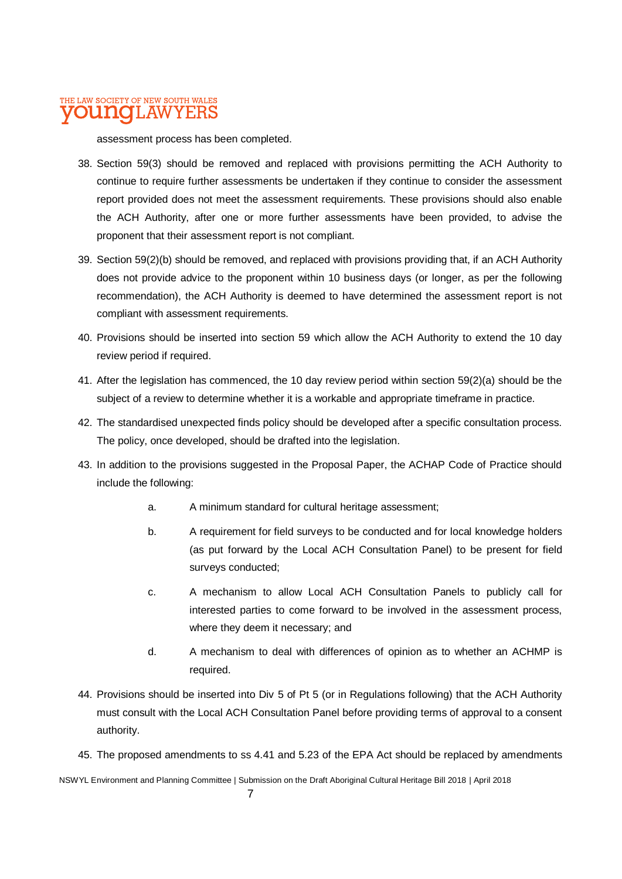assessment process has been completed.

- 38. Section 59(3) should be removed and replaced with provisions permitting the ACH Authority to continue to require further assessments be undertaken if they continue to consider the assessment report provided does not meet the assessment requirements. These provisions should also enable the ACH Authority, after one or more further assessments have been provided, to advise the proponent that their assessment report is not compliant.
- 39. Section 59(2)(b) should be removed, and replaced with provisions providing that, if an ACH Authority does not provide advice to the proponent within 10 business days (or longer, as per the following recommendation), the ACH Authority is deemed to have determined the assessment report is not compliant with assessment requirements.
- 40. Provisions should be inserted into section 59 which allow the ACH Authority to extend the 10 day review period if required.
- 41. After the legislation has commenced, the 10 day review period within section 59(2)(a) should be the subject of a review to determine whether it is a workable and appropriate timeframe in practice.
- 42. The standardised unexpected finds policy should be developed after a specific consultation process. The policy, once developed, should be drafted into the legislation.
- 43. In addition to the provisions suggested in the Proposal Paper, the ACHAP Code of Practice should include the following:
	- a. A minimum standard for cultural heritage assessment;
	- b. A requirement for field surveys to be conducted and for local knowledge holders (as put forward by the Local ACH Consultation Panel) to be present for field surveys conducted;
	- c. A mechanism to allow Local ACH Consultation Panels to publicly call for interested parties to come forward to be involved in the assessment process, where they deem it necessary; and
	- d. A mechanism to deal with differences of opinion as to whether an ACHMP is required.
- 44. Provisions should be inserted into Div 5 of Pt 5 (or in Regulations following) that the ACH Authority must consult with the Local ACH Consultation Panel before providing terms of approval to a consent authority.
- 45. The proposed amendments to ss 4.41 and 5.23 of the EPA Act should be replaced by amendments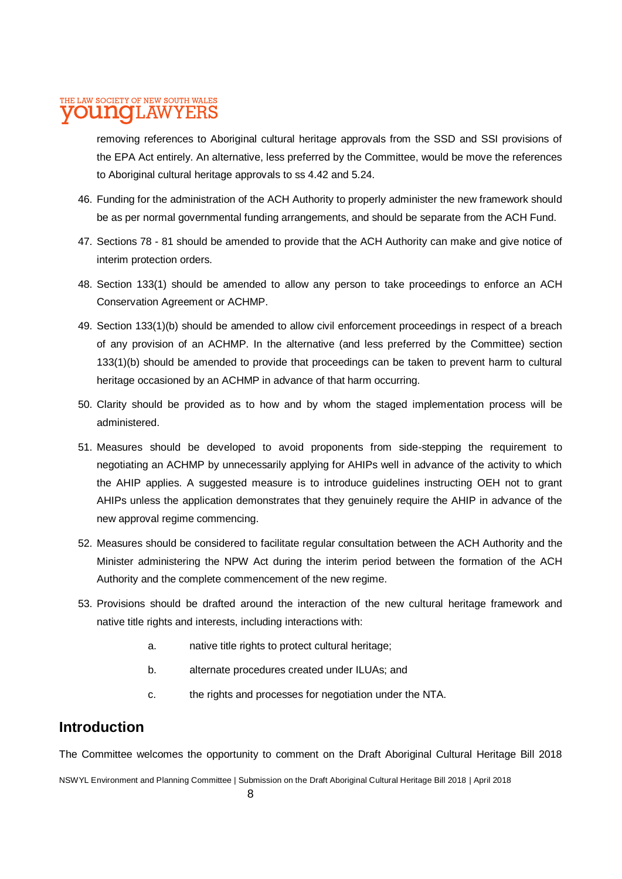removing references to Aboriginal cultural heritage approvals from the SSD and SSI provisions of the EPA Act entirely. An alternative, less preferred by the Committee, would be move the references to Aboriginal cultural heritage approvals to ss 4.42 and 5.24.

- 46. Funding for the administration of the ACH Authority to properly administer the new framework should be as per normal governmental funding arrangements, and should be separate from the ACH Fund.
- 47. Sections 78 81 should be amended to provide that the ACH Authority can make and give notice of interim protection orders.
- 48. Section 133(1) should be amended to allow any person to take proceedings to enforce an ACH Conservation Agreement or ACHMP.
- 49. Section 133(1)(b) should be amended to allow civil enforcement proceedings in respect of a breach of any provision of an ACHMP. In the alternative (and less preferred by the Committee) section 133(1)(b) should be amended to provide that proceedings can be taken to prevent harm to cultural heritage occasioned by an ACHMP in advance of that harm occurring.
- 50. Clarity should be provided as to how and by whom the staged implementation process will be administered.
- 51. Measures should be developed to avoid proponents from side-stepping the requirement to negotiating an ACHMP by unnecessarily applying for AHIPs well in advance of the activity to which the AHIP applies. A suggested measure is to introduce guidelines instructing OEH not to grant AHIPs unless the application demonstrates that they genuinely require the AHIP in advance of the new approval regime commencing.
- 52. Measures should be considered to facilitate regular consultation between the ACH Authority and the Minister administering the NPW Act during the interim period between the formation of the ACH Authority and the complete commencement of the new regime.
- 53. Provisions should be drafted around the interaction of the new cultural heritage framework and native title rights and interests, including interactions with:
	- a. native title rights to protect cultural heritage;
	- b. alternate procedures created under ILUAs; and
	- c. the rights and processes for negotiation under the NTA.

### **Introduction**

The Committee welcomes the opportunity to comment on the Draft Aboriginal Cultural Heritage Bill 2018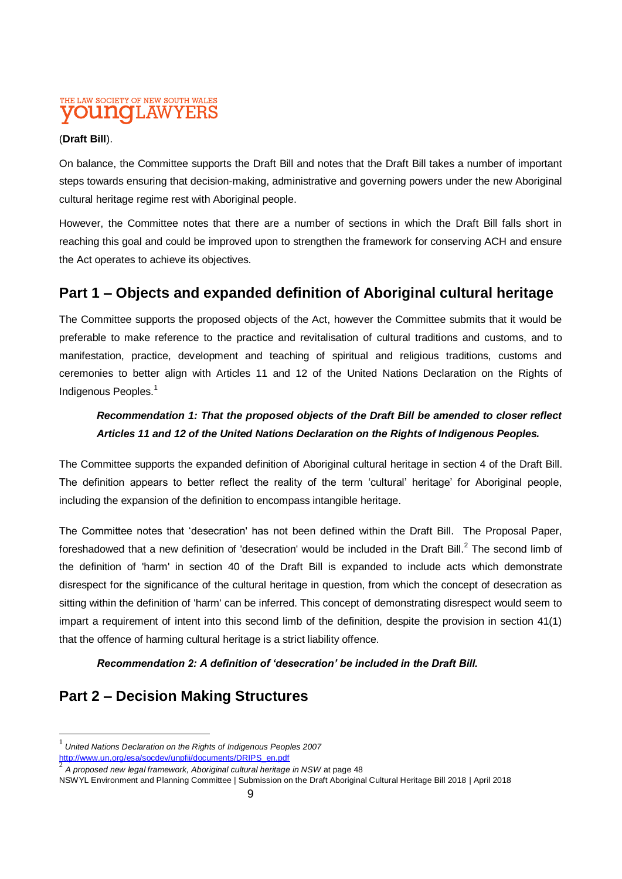#### (**Draft Bill**).

On balance, the Committee supports the Draft Bill and notes that the Draft Bill takes a number of important steps towards ensuring that decision-making, administrative and governing powers under the new Aboriginal cultural heritage regime rest with Aboriginal people.

However, the Committee notes that there are a number of sections in which the Draft Bill falls short in reaching this goal and could be improved upon to strengthen the framework for conserving ACH and ensure the Act operates to achieve its objectives.

### **Part 1 – Objects and expanded definition of Aboriginal cultural heritage**

The Committee supports the proposed objects of the Act, however the Committee submits that it would be preferable to make reference to the practice and revitalisation of cultural traditions and customs, and to manifestation, practice, development and teaching of spiritual and religious traditions, customs and ceremonies to better align with Articles 11 and 12 of the United Nations Declaration on the Rights of Indigenous Peoples.<sup>1</sup>

### *Recommendation 1: That the proposed objects of the Draft Bill be amended to closer reflect Articles 11 and 12 of the United Nations Declaration on the Rights of Indigenous Peoples.*

The Committee supports the expanded definition of Aboriginal cultural heritage in section 4 of the Draft Bill. The definition appears to better reflect the reality of the term 'cultural' heritage' for Aboriginal people, including the expansion of the definition to encompass intangible heritage.

The Committee notes that 'desecration' has not been defined within the Draft Bill. The Proposal Paper, foreshadowed that a new definition of 'desecration' would be included in the Draft Bill.<sup>2</sup> The second limb of the definition of 'harm' in section 40 of the Draft Bill is expanded to include acts which demonstrate disrespect for the significance of the cultural heritage in question, from which the concept of desecration as sitting within the definition of 'harm' can be inferred. This concept of demonstrating disrespect would seem to impart a requirement of intent into this second limb of the definition, despite the provision in section 41(1) that the offence of harming cultural heritage is a strict liability offence.

#### *Recommendation 2: A definition of 'desecration' be included in the Draft Bill.*

### **Part 2 – Decision Making Structures**

 $\overline{a}$ 

<sup>1</sup> *United Nations Declaration on the Rights of Indigenous Peoples 2007* [http://www.un.org/esa/socdev/unpfii/documents/DRIPS\\_en.pdf](http://www.un.org/esa/socdev/unpfii/documents/DRIPS_en.pdf)<br>2\_4\_are essed row level framework. Aboritise Laulture Lharite ar

*A proposed new legal framework, Aboriginal cultural heritage in NSW* at page 48

NSWYL Environment and Planning Committee | Submission on the Draft Aboriginal Cultural Heritage Bill 2018 | April 2018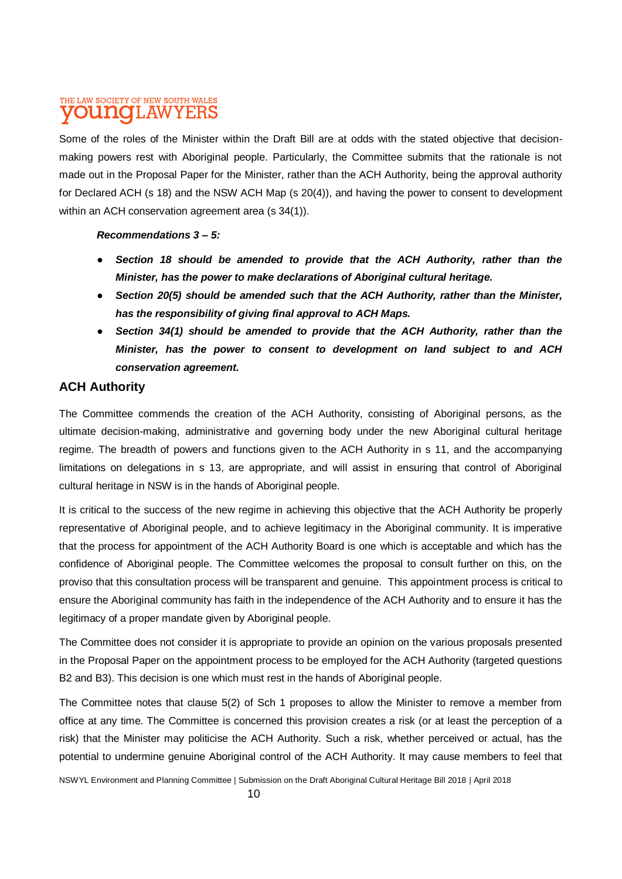Some of the roles of the Minister within the Draft Bill are at odds with the stated objective that decisionmaking powers rest with Aboriginal people. Particularly, the Committee submits that the rationale is not made out in the Proposal Paper for the Minister, rather than the ACH Authority, being the approval authority for Declared ACH (s 18) and the NSW ACH Map (s 20(4)), and having the power to consent to development within an ACH conservation agreement area (s 34(1)).

#### *Recommendations 3 – 5:*

- *Section 18 should be amended to provide that the ACH Authority, rather than the Minister, has the power to make declarations of Aboriginal cultural heritage.*
- *Section 20(5) should be amended such that the ACH Authority, rather than the Minister, has the responsibility of giving final approval to ACH Maps.*
- Section 34(1) should be amended to provide that the ACH Authority, rather than the *Minister, has the power to consent to development on land subject to and ACH conservation agreement.*

#### **ACH Authority**

The Committee commends the creation of the ACH Authority, consisting of Aboriginal persons, as the ultimate decision-making, administrative and governing body under the new Aboriginal cultural heritage regime. The breadth of powers and functions given to the ACH Authority in s 11, and the accompanying limitations on delegations in s 13, are appropriate, and will assist in ensuring that control of Aboriginal cultural heritage in NSW is in the hands of Aboriginal people.

It is critical to the success of the new regime in achieving this objective that the ACH Authority be properly representative of Aboriginal people, and to achieve legitimacy in the Aboriginal community. It is imperative that the process for appointment of the ACH Authority Board is one which is acceptable and which has the confidence of Aboriginal people. The Committee welcomes the proposal to consult further on this, on the proviso that this consultation process will be transparent and genuine. This appointment process is critical to ensure the Aboriginal community has faith in the independence of the ACH Authority and to ensure it has the legitimacy of a proper mandate given by Aboriginal people.

The Committee does not consider it is appropriate to provide an opinion on the various proposals presented in the Proposal Paper on the appointment process to be employed for the ACH Authority (targeted questions B2 and B3). This decision is one which must rest in the hands of Aboriginal people.

The Committee notes that clause 5(2) of Sch 1 proposes to allow the Minister to remove a member from office at any time. The Committee is concerned this provision creates a risk (or at least the perception of a risk) that the Minister may politicise the ACH Authority. Such a risk, whether perceived or actual, has the potential to undermine genuine Aboriginal control of the ACH Authority. It may cause members to feel that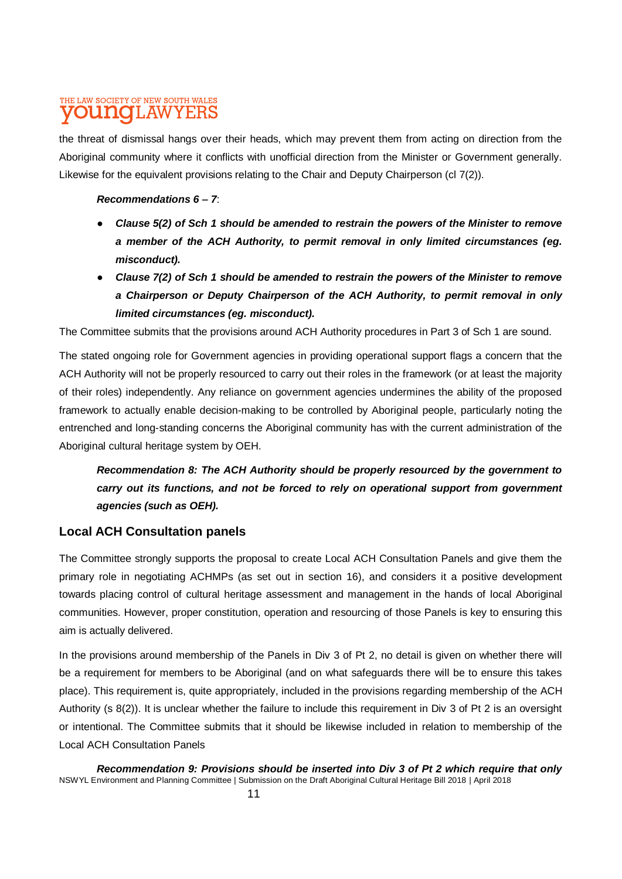the threat of dismissal hangs over their heads, which may prevent them from acting on direction from the Aboriginal community where it conflicts with unofficial direction from the Minister or Government generally. Likewise for the equivalent provisions relating to the Chair and Deputy Chairperson (cl 7(2)).

#### *Recommendations 6 – 7*:

- *Clause 5(2) of Sch 1 should be amended to restrain the powers of the Minister to remove a member of the ACH Authority, to permit removal in only limited circumstances (eg. misconduct).*
- *Clause 7(2) of Sch 1 should be amended to restrain the powers of the Minister to remove a Chairperson or Deputy Chairperson of the ACH Authority, to permit removal in only limited circumstances (eg. misconduct).*

The Committee submits that the provisions around ACH Authority procedures in Part 3 of Sch 1 are sound.

The stated ongoing role for Government agencies in providing operational support flags a concern that the ACH Authority will not be properly resourced to carry out their roles in the framework (or at least the majority of their roles) independently. Any reliance on government agencies undermines the ability of the proposed framework to actually enable decision-making to be controlled by Aboriginal people, particularly noting the entrenched and long-standing concerns the Aboriginal community has with the current administration of the Aboriginal cultural heritage system by OEH.

*Recommendation 8: The ACH Authority should be properly resourced by the government to carry out its functions, and not be forced to rely on operational support from government agencies (such as OEH).* 

#### **Local ACH Consultation panels**

The Committee strongly supports the proposal to create Local ACH Consultation Panels and give them the primary role in negotiating ACHMPs (as set out in section 16), and considers it a positive development towards placing control of cultural heritage assessment and management in the hands of local Aboriginal communities. However, proper constitution, operation and resourcing of those Panels is key to ensuring this aim is actually delivered.

In the provisions around membership of the Panels in Div 3 of Pt 2, no detail is given on whether there will be a requirement for members to be Aboriginal (and on what safeguards there will be to ensure this takes place). This requirement is, quite appropriately, included in the provisions regarding membership of the ACH Authority (s 8(2)). It is unclear whether the failure to include this requirement in Div 3 of Pt 2 is an oversight or intentional. The Committee submits that it should be likewise included in relation to membership of the Local ACH Consultation Panels

NSWYL Environment and Planning Committee | Submission on the Draft Aboriginal Cultural Heritage Bill 2018 | April 2018 *Recommendation 9: Provisions should be inserted into Div 3 of Pt 2 which require that only*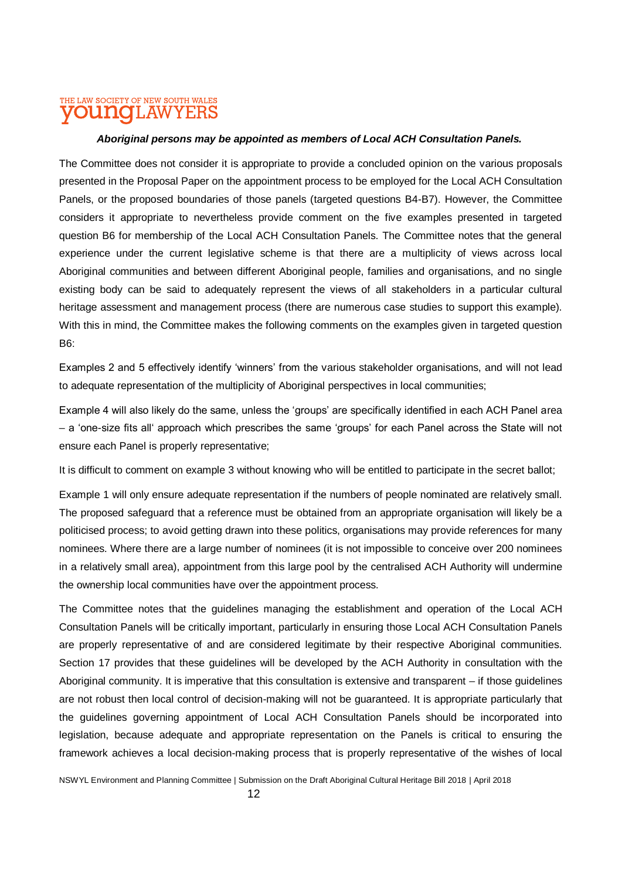#### *Aboriginal persons may be appointed as members of Local ACH Consultation Panels.*

The Committee does not consider it is appropriate to provide a concluded opinion on the various proposals presented in the Proposal Paper on the appointment process to be employed for the Local ACH Consultation Panels, or the proposed boundaries of those panels (targeted questions B4-B7). However, the Committee considers it appropriate to nevertheless provide comment on the five examples presented in targeted question B6 for membership of the Local ACH Consultation Panels. The Committee notes that the general experience under the current legislative scheme is that there are a multiplicity of views across local Aboriginal communities and between different Aboriginal people, families and organisations, and no single existing body can be said to adequately represent the views of all stakeholders in a particular cultural heritage assessment and management process (there are numerous case studies to support this example). With this in mind, the Committee makes the following comments on the examples given in targeted question B6:

Examples 2 and 5 effectively identify 'winners' from the various stakeholder organisations, and will not lead to adequate representation of the multiplicity of Aboriginal perspectives in local communities;

Example 4 will also likely do the same, unless the 'groups' are specifically identified in each ACH Panel area – a 'one-size fits all' approach which prescribes the same 'groups' for each Panel across the State will not ensure each Panel is properly representative;

It is difficult to comment on example 3 without knowing who will be entitled to participate in the secret ballot;

Example 1 will only ensure adequate representation if the numbers of people nominated are relatively small. The proposed safeguard that a reference must be obtained from an appropriate organisation will likely be a politicised process; to avoid getting drawn into these politics, organisations may provide references for many nominees. Where there are a large number of nominees (it is not impossible to conceive over 200 nominees in a relatively small area), appointment from this large pool by the centralised ACH Authority will undermine the ownership local communities have over the appointment process.

The Committee notes that the guidelines managing the establishment and operation of the Local ACH Consultation Panels will be critically important, particularly in ensuring those Local ACH Consultation Panels are properly representative of and are considered legitimate by their respective Aboriginal communities. Section 17 provides that these guidelines will be developed by the ACH Authority in consultation with the Aboriginal community. It is imperative that this consultation is extensive and transparent – if those guidelines are not robust then local control of decision-making will not be guaranteed. It is appropriate particularly that the guidelines governing appointment of Local ACH Consultation Panels should be incorporated into legislation, because adequate and appropriate representation on the Panels is critical to ensuring the framework achieves a local decision-making process that is properly representative of the wishes of local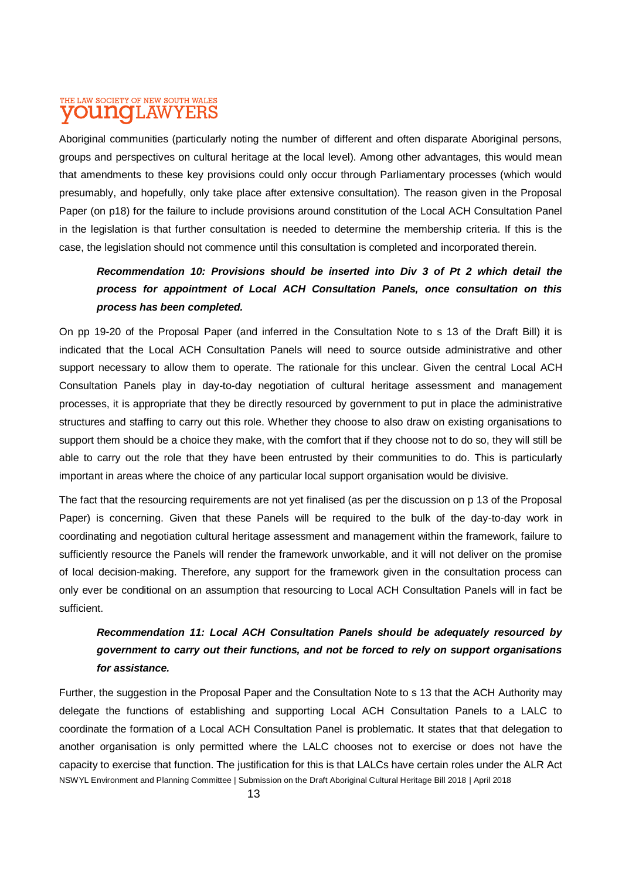Aboriginal communities (particularly noting the number of different and often disparate Aboriginal persons, groups and perspectives on cultural heritage at the local level). Among other advantages, this would mean that amendments to these key provisions could only occur through Parliamentary processes (which would presumably, and hopefully, only take place after extensive consultation). The reason given in the Proposal Paper (on p18) for the failure to include provisions around constitution of the Local ACH Consultation Panel in the legislation is that further consultation is needed to determine the membership criteria. If this is the case, the legislation should not commence until this consultation is completed and incorporated therein.

### *Recommendation 10: Provisions should be inserted into Div 3 of Pt 2 which detail the process for appointment of Local ACH Consultation Panels, once consultation on this process has been completed.*

On pp 19-20 of the Proposal Paper (and inferred in the Consultation Note to s 13 of the Draft Bill) it is indicated that the Local ACH Consultation Panels will need to source outside administrative and other support necessary to allow them to operate. The rationale for this unclear. Given the central Local ACH Consultation Panels play in day-to-day negotiation of cultural heritage assessment and management processes, it is appropriate that they be directly resourced by government to put in place the administrative structures and staffing to carry out this role. Whether they choose to also draw on existing organisations to support them should be a choice they make, with the comfort that if they choose not to do so, they will still be able to carry out the role that they have been entrusted by their communities to do. This is particularly important in areas where the choice of any particular local support organisation would be divisive.

The fact that the resourcing requirements are not yet finalised (as per the discussion on p 13 of the Proposal Paper) is concerning. Given that these Panels will be required to the bulk of the day-to-day work in coordinating and negotiation cultural heritage assessment and management within the framework, failure to sufficiently resource the Panels will render the framework unworkable, and it will not deliver on the promise of local decision-making. Therefore, any support for the framework given in the consultation process can only ever be conditional on an assumption that resourcing to Local ACH Consultation Panels will in fact be sufficient.

### *Recommendation 11: Local ACH Consultation Panels should be adequately resourced by government to carry out their functions, and not be forced to rely on support organisations for assistance.*

NSWYL Environment and Planning Committee | Submission on the Draft Aboriginal Cultural Heritage Bill 2018 | April 2018 Further, the suggestion in the Proposal Paper and the Consultation Note to s 13 that the ACH Authority may delegate the functions of establishing and supporting Local ACH Consultation Panels to a LALC to coordinate the formation of a Local ACH Consultation Panel is problematic. It states that that delegation to another organisation is only permitted where the LALC chooses not to exercise or does not have the capacity to exercise that function. The justification for this is that LALCs have certain roles under the ALR Act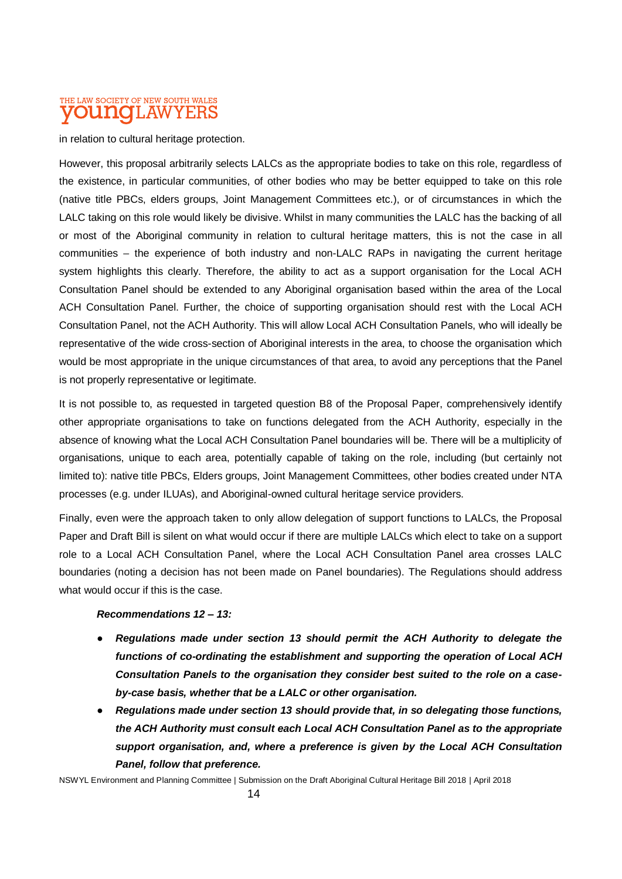in relation to cultural heritage protection.

However, this proposal arbitrarily selects LALCs as the appropriate bodies to take on this role, regardless of the existence, in particular communities, of other bodies who may be better equipped to take on this role (native title PBCs, elders groups, Joint Management Committees etc.), or of circumstances in which the LALC taking on this role would likely be divisive. Whilst in many communities the LALC has the backing of all or most of the Aboriginal community in relation to cultural heritage matters, this is not the case in all communities – the experience of both industry and non-LALC RAPs in navigating the current heritage system highlights this clearly. Therefore, the ability to act as a support organisation for the Local ACH Consultation Panel should be extended to any Aboriginal organisation based within the area of the Local ACH Consultation Panel. Further, the choice of supporting organisation should rest with the Local ACH Consultation Panel, not the ACH Authority. This will allow Local ACH Consultation Panels, who will ideally be representative of the wide cross-section of Aboriginal interests in the area, to choose the organisation which would be most appropriate in the unique circumstances of that area, to avoid any perceptions that the Panel is not properly representative or legitimate.

It is not possible to, as requested in targeted question B8 of the Proposal Paper, comprehensively identify other appropriate organisations to take on functions delegated from the ACH Authority, especially in the absence of knowing what the Local ACH Consultation Panel boundaries will be. There will be a multiplicity of organisations, unique to each area, potentially capable of taking on the role, including (but certainly not limited to): native title PBCs, Elders groups, Joint Management Committees, other bodies created under NTA processes (e.g. under ILUAs), and Aboriginal-owned cultural heritage service providers.

Finally, even were the approach taken to only allow delegation of support functions to LALCs, the Proposal Paper and Draft Bill is silent on what would occur if there are multiple LALCs which elect to take on a support role to a Local ACH Consultation Panel, where the Local ACH Consultation Panel area crosses LALC boundaries (noting a decision has not been made on Panel boundaries). The Regulations should address what would occur if this is the case.

#### *Recommendations 12 – 13:*

- *Regulations made under section 13 should permit the ACH Authority to delegate the functions of co-ordinating the establishment and supporting the operation of Local ACH Consultation Panels to the organisation they consider best suited to the role on a caseby-case basis, whether that be a LALC or other organisation.*
- *Regulations made under section 13 should provide that, in so delegating those functions, the ACH Authority must consult each Local ACH Consultation Panel as to the appropriate support organisation, and, where a preference is given by the Local ACH Consultation Panel, follow that preference.*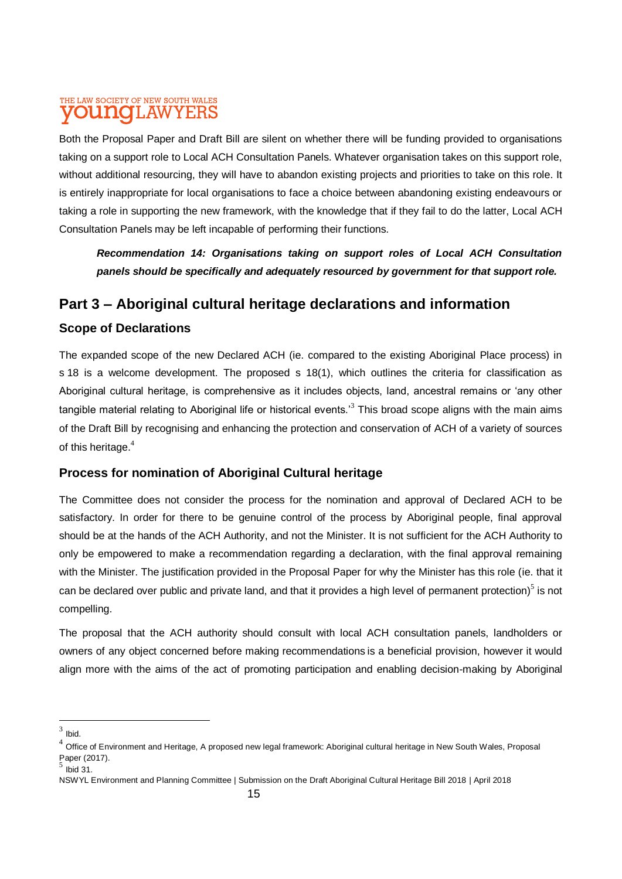Both the Proposal Paper and Draft Bill are silent on whether there will be funding provided to organisations taking on a support role to Local ACH Consultation Panels. Whatever organisation takes on this support role, without additional resourcing, they will have to abandon existing projects and priorities to take on this role. It is entirely inappropriate for local organisations to face a choice between abandoning existing endeavours or taking a role in supporting the new framework, with the knowledge that if they fail to do the latter, Local ACH Consultation Panels may be left incapable of performing their functions.

*Recommendation 14: Organisations taking on support roles of Local ACH Consultation panels should be specifically and adequately resourced by government for that support role.*

### **Part 3 – Aboriginal cultural heritage declarations and information**

### **Scope of Declarations**

The expanded scope of the new Declared ACH (ie. compared to the existing Aboriginal Place process) in s 18 is a welcome development. The proposed s 18(1), which outlines the criteria for classification as Aboriginal cultural heritage, is comprehensive as it includes objects, land, ancestral remains or 'any other tangible material relating to Aboriginal life or historical events.<sup>3</sup> This broad scope aligns with the main aims of the Draft Bill by recognising and enhancing the protection and conservation of ACH of a variety of sources of this heritage.<sup>4</sup>

#### **Process for nomination of Aboriginal Cultural heritage**

The Committee does not consider the process for the nomination and approval of Declared ACH to be satisfactory. In order for there to be genuine control of the process by Aboriginal people, final approval should be at the hands of the ACH Authority, and not the Minister. It is not sufficient for the ACH Authority to only be empowered to make a recommendation regarding a declaration, with the final approval remaining with the Minister. The justification provided in the Proposal Paper for why the Minister has this role (ie. that it can be declared over public and private land, and that it provides a high level of permanent protection)<sup>5</sup> is not compelling.

The proposal that the ACH authority should consult with local ACH consultation panels, landholders or owners of any object concerned before making recommendations is a beneficial provision, however it would align more with the aims of the act of promoting participation and enabling decision-making by Aboriginal

 $3$  Ibid.

 $^4$  Office of Environment and Heritage, A proposed new legal framework: Aboriginal cultural heritage in New South Wales, Proposal Paper (2017).

 $<sup>5</sup>$  lbid 31.</sup>

NSWYL Environment and Planning Committee | Submission on the Draft Aboriginal Cultural Heritage Bill 2018 | April 2018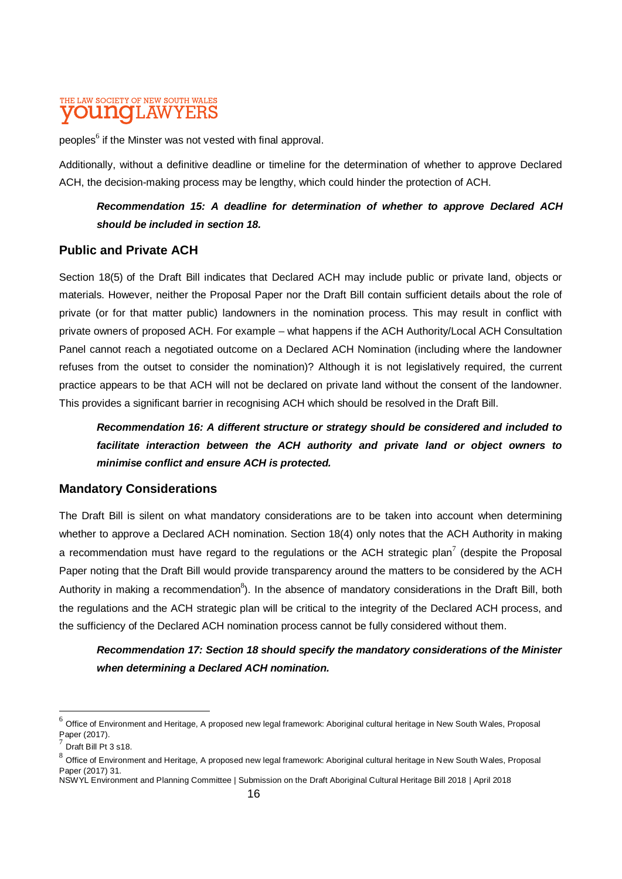peoples<sup>6</sup> if the Minster was not vested with final approval.

Additionally, without a definitive deadline or timeline for the determination of whether to approve Declared ACH, the decision-making process may be lengthy, which could hinder the protection of ACH.

#### *Recommendation 15: A deadline for determination of whether to approve Declared ACH should be included in section 18.*

#### **Public and Private ACH**

Section 18(5) of the Draft Bill indicates that Declared ACH may include public or private land, objects or materials. However, neither the Proposal Paper nor the Draft Bill contain sufficient details about the role of private (or for that matter public) landowners in the nomination process. This may result in conflict with private owners of proposed ACH. For example – what happens if the ACH Authority/Local ACH Consultation Panel cannot reach a negotiated outcome on a Declared ACH Nomination (including where the landowner refuses from the outset to consider the nomination)? Although it is not legislatively required, the current practice appears to be that ACH will not be declared on private land without the consent of the landowner. This provides a significant barrier in recognising ACH which should be resolved in the Draft Bill.

*Recommendation 16: A different structure or strategy should be considered and included to facilitate interaction between the ACH authority and private land or object owners to minimise conflict and ensure ACH is protected.* 

#### **Mandatory Considerations**

The Draft Bill is silent on what mandatory considerations are to be taken into account when determining whether to approve a Declared ACH nomination. Section 18(4) only notes that the ACH Authority in making a recommendation must have regard to the regulations or the ACH strategic plan<sup>7</sup> (despite the Proposal Paper noting that the Draft Bill would provide transparency around the matters to be considered by the ACH Authority in making a recommendation<sup>8</sup>). In the absence of mandatory considerations in the Draft Bill, both the regulations and the ACH strategic plan will be critical to the integrity of the Declared ACH process, and the sufficiency of the Declared ACH nomination process cannot be fully considered without them.

*Recommendation 17: Section 18 should specify the mandatory considerations of the Minister when determining a Declared ACH nomination.*

l

 $^6$  Office of Environment and Heritage, A proposed new legal framework: Aboriginal cultural heritage in New South Wales, Proposal Paper (2017).

<sup>7</sup> Draft Bill Pt 3 s18.

 $^8$  Office of Environment and Heritage, A proposed new legal framework: Aboriginal cultural heritage in New South Wales, Proposal Paper (2017) 31.

NSWYL Environment and Planning Committee | Submission on the Draft Aboriginal Cultural Heritage Bill 2018 | April 2018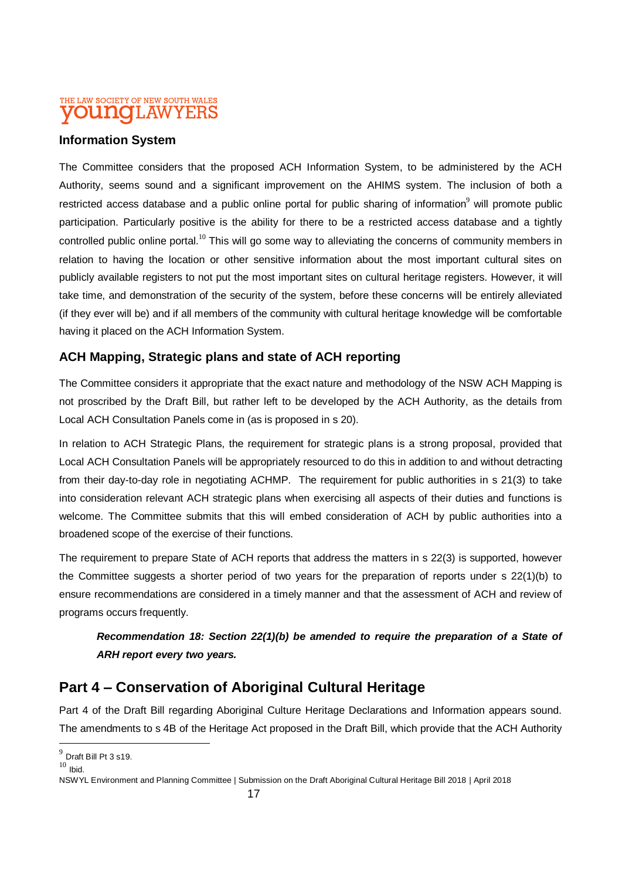#### **Information System**

The Committee considers that the proposed ACH Information System, to be administered by the ACH Authority, seems sound and a significant improvement on the AHIMS system. The inclusion of both a restricted access database and a public online portal for public sharing of information<sup>9</sup> will promote public participation. Particularly positive is the ability for there to be a restricted access database and a tightly controlled public online portal.<sup>10</sup> This will go some way to alleviating the concerns of community members in relation to having the location or other sensitive information about the most important cultural sites on publicly available registers to not put the most important sites on cultural heritage registers. However, it will take time, and demonstration of the security of the system, before these concerns will be entirely alleviated (if they ever will be) and if all members of the community with cultural heritage knowledge will be comfortable having it placed on the ACH Information System.

#### **ACH Mapping, Strategic plans and state of ACH reporting**

The Committee considers it appropriate that the exact nature and methodology of the NSW ACH Mapping is not proscribed by the Draft Bill, but rather left to be developed by the ACH Authority, as the details from Local ACH Consultation Panels come in (as is proposed in s 20).

In relation to ACH Strategic Plans, the requirement for strategic plans is a strong proposal, provided that Local ACH Consultation Panels will be appropriately resourced to do this in addition to and without detracting from their day-to-day role in negotiating ACHMP. The requirement for public authorities in s 21(3) to take into consideration relevant ACH strategic plans when exercising all aspects of their duties and functions is welcome. The Committee submits that this will embed consideration of ACH by public authorities into a broadened scope of the exercise of their functions.

The requirement to prepare State of ACH reports that address the matters in s 22(3) is supported, however the Committee suggests a shorter period of two years for the preparation of reports under s 22(1)(b) to ensure recommendations are considered in a timely manner and that the assessment of ACH and review of programs occurs frequently.

### *Recommendation 18: Section 22(1)(b) be amended to require the preparation of a State of ARH report every two years.*

### **Part 4 – Conservation of Aboriginal Cultural Heritage**

Part 4 of the Draft Bill regarding Aboriginal Culture Heritage Declarations and Information appears sound. The amendments to s 4B of the Heritage Act proposed in the Draft Bill, which provide that the ACH Authority

 $\overline{a}$ 

 $^9$  Draft Bill Pt 3 s19.

 $10$  Ibid.

NSWYL Environment and Planning Committee | Submission on the Draft Aboriginal Cultural Heritage Bill 2018 | April 2018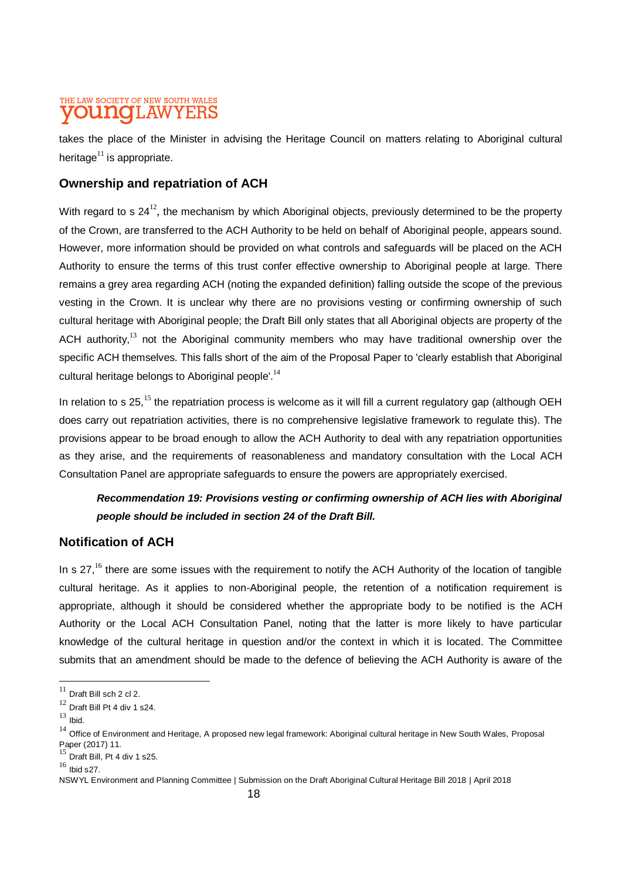takes the place of the Minister in advising the Heritage Council on matters relating to Aboriginal cultural heritage $^{11}$  is appropriate.

#### **Ownership and repatriation of ACH**

With regard to s 24<sup>12</sup>, the mechanism by which Aboriginal objects, previously determined to be the property of the Crown, are transferred to the ACH Authority to be held on behalf of Aboriginal people, appears sound. However, more information should be provided on what controls and safeguards will be placed on the ACH Authority to ensure the terms of this trust confer effective ownership to Aboriginal people at large. There remains a grey area regarding ACH (noting the expanded definition) falling outside the scope of the previous vesting in the Crown. It is unclear why there are no provisions vesting or confirming ownership of such cultural heritage with Aboriginal people; the Draft Bill only states that all Aboriginal objects are property of the ACH authority, $13$  not the Aboriginal community members who may have traditional ownership over the specific ACH themselves. This falls short of the aim of the Proposal Paper to 'clearly establish that Aboriginal cultural heritage belongs to Aboriginal people'.<sup>14</sup>

In relation to s 25,<sup>15</sup> the repatriation process is welcome as it will fill a current regulatory gap (although OEH does carry out repatriation activities, there is no comprehensive legislative framework to regulate this). The provisions appear to be broad enough to allow the ACH Authority to deal with any repatriation opportunities as they arise, and the requirements of reasonableness and mandatory consultation with the Local ACH Consultation Panel are appropriate safeguards to ensure the powers are appropriately exercised.

### *Recommendation 19: Provisions vesting or confirming ownership of ACH lies with Aboriginal people should be included in section 24 of the Draft Bill.*

#### **Notification of ACH**

In s 27,<sup>16</sup> there are some issues with the requirement to notify the ACH Authority of the location of tangible cultural heritage. As it applies to non-Aboriginal people, the retention of a notification requirement is appropriate, although it should be considered whether the appropriate body to be notified is the ACH Authority or the Local ACH Consultation Panel, noting that the latter is more likely to have particular knowledge of the cultural heritage in question and/or the context in which it is located. The Committee submits that an amendment should be made to the defence of believing the ACH Authority is aware of the

l

 $11$  Draft Bill sch 2 cl 2.

<sup>12</sup> Draft Bill Pt 4 div 1 s24.

 $13$  Ibid.

 $14$  Office of Environment and Heritage, A proposed new legal framework: Aboriginal cultural heritage in New South Wales, Proposal Paper (2017) 11.

 $15$  Draft Bill, Pt 4 div 1 s25.

 $16$  Ibid s27.

NSWYL Environment and Planning Committee | Submission on the Draft Aboriginal Cultural Heritage Bill 2018 | April 2018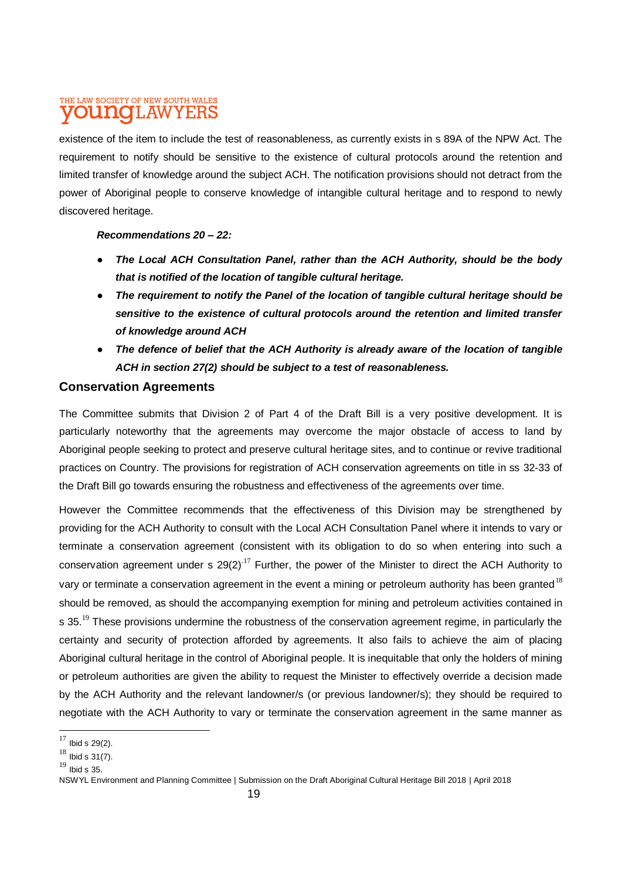existence of the item to include the test of reasonableness, as currently exists in s 89A of the NPW Act. The requirement to notify should be sensitive to the existence of cultural protocols around the retention and limited transfer of knowledge around the subject ACH. The notification provisions should not detract from the power of Aboriginal people to conserve knowledge of intangible cultural heritage and to respond to newly discovered heritage.

#### *Recommendations 20 – 22:*

- **The Local ACH Consultation Panel, rather than the ACH Authority, should be the body** *that is notified of the location of tangible cultural heritage.*
- *The requirement to notify the Panel of the location of tangible cultural heritage should be sensitive to the existence of cultural protocols around the retention and limited transfer of knowledge around ACH*
- The defence of belief that the ACH Authority is already aware of the location of tangible *ACH in section 27(2) should be subject to a test of reasonableness.*

#### **Conservation Agreements**

The Committee submits that Division 2 of Part 4 of the Draft Bill is a very positive development. It is particularly noteworthy that the agreements may overcome the major obstacle of access to land by Aboriginal people seeking to protect and preserve cultural heritage sites, and to continue or revive traditional practices on Country. The provisions for registration of ACH conservation agreements on title in ss 32-33 of the Draft Bill go towards ensuring the robustness and effectiveness of the agreements over time.

However the Committee recommends that the effectiveness of this Division may be strengthened by providing for the ACH Authority to consult with the Local ACH Consultation Panel where it intends to vary or terminate a conservation agreement (consistent with its obligation to do so when entering into such a conservation agreement under s  $29(2)^{17}$  Further, the power of the Minister to direct the ACH Authority to vary or terminate a conservation agreement in the event a mining or petroleum authority has been granted<sup>18</sup> should be removed, as should the accompanying exemption for mining and petroleum activities contained in s 35.<sup>19</sup> These provisions undermine the robustness of the conservation agreement regime, in particularly the certainty and security of protection afforded by agreements. It also fails to achieve the aim of placing Aboriginal cultural heritage in the control of Aboriginal people. It is inequitable that only the holders of mining or petroleum authorities are given the ability to request the Minister to effectively override a decision made by the ACH Authority and the relevant landowner/s (or previous landowner/s); they should be required to negotiate with the ACH Authority to vary or terminate the conservation agreement in the same manner as

 $\overline{a}$ 

 $17$  Ibid s 29(2).

 $18$  Ibid s 31(7).

 $19$  Ibid s 35.

NSWYL Environment and Planning Committee | Submission on the Draft Aboriginal Cultural Heritage Bill 2018 | April 2018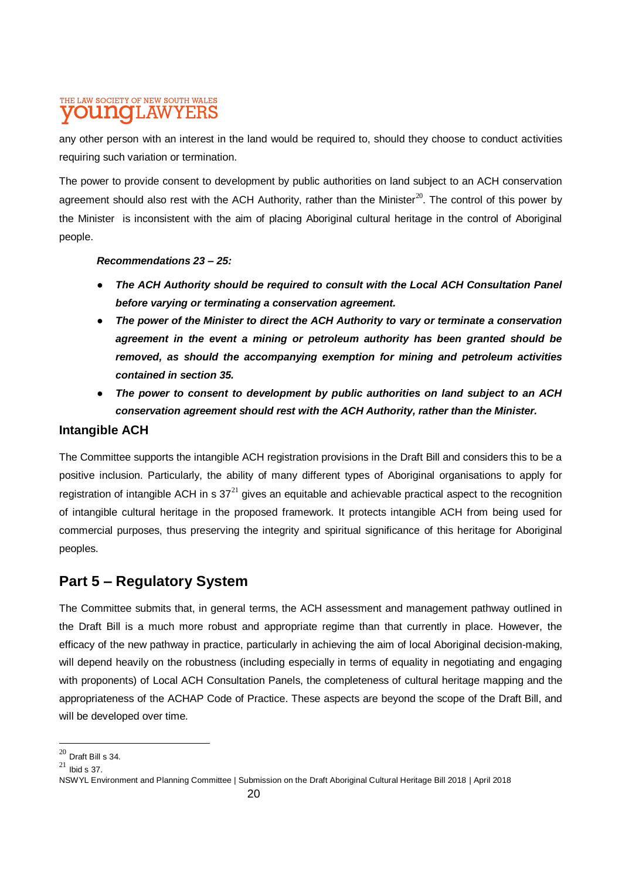any other person with an interest in the land would be required to, should they choose to conduct activities requiring such variation or termination.

The power to provide consent to development by public authorities on land subject to an ACH conservation agreement should also rest with the ACH Authority, rather than the Minister<sup>20</sup>. The control of this power by the Minister is inconsistent with the aim of placing Aboriginal cultural heritage in the control of Aboriginal people.

#### *Recommendations 23 – 25:*

- *The ACH Authority should be required to consult with the Local ACH Consultation Panel before varying or terminating a conservation agreement.*
- *The power of the Minister to direct the ACH Authority to vary or terminate a conservation agreement in the event a mining or petroleum authority has been granted should be removed, as should the accompanying exemption for mining and petroleum activities contained in section 35.*
- The power to consent to development by public authorities on land subject to an ACH *conservation agreement should rest with the ACH Authority, rather than the Minister.*

#### **Intangible ACH**

The Committee supports the intangible ACH registration provisions in the Draft Bill and considers this to be a positive inclusion. Particularly, the ability of many different types of Aboriginal organisations to apply for registration of intangible ACH in s  $37<sup>21</sup>$  gives an equitable and achievable practical aspect to the recognition of intangible cultural heritage in the proposed framework. It protects intangible ACH from being used for commercial purposes, thus preserving the integrity and spiritual significance of this heritage for Aboriginal peoples.

### **Part 5 – Regulatory System**

The Committee submits that, in general terms, the ACH assessment and management pathway outlined in the Draft Bill is a much more robust and appropriate regime than that currently in place. However, the efficacy of the new pathway in practice, particularly in achieving the aim of local Aboriginal decision-making, will depend heavily on the robustness (including especially in terms of equality in negotiating and engaging with proponents) of Local ACH Consultation Panels, the completeness of cultural heritage mapping and the appropriateness of the ACHAP Code of Practice. These aspects are beyond the scope of the Draft Bill, and will be developed over time.

 $\overline{a}$ 

 $^{20}$  Draft Bill s 34.

 $^{21}$  Ibid s 37.

NSWYL Environment and Planning Committee | Submission on the Draft Aboriginal Cultural Heritage Bill 2018 | April 2018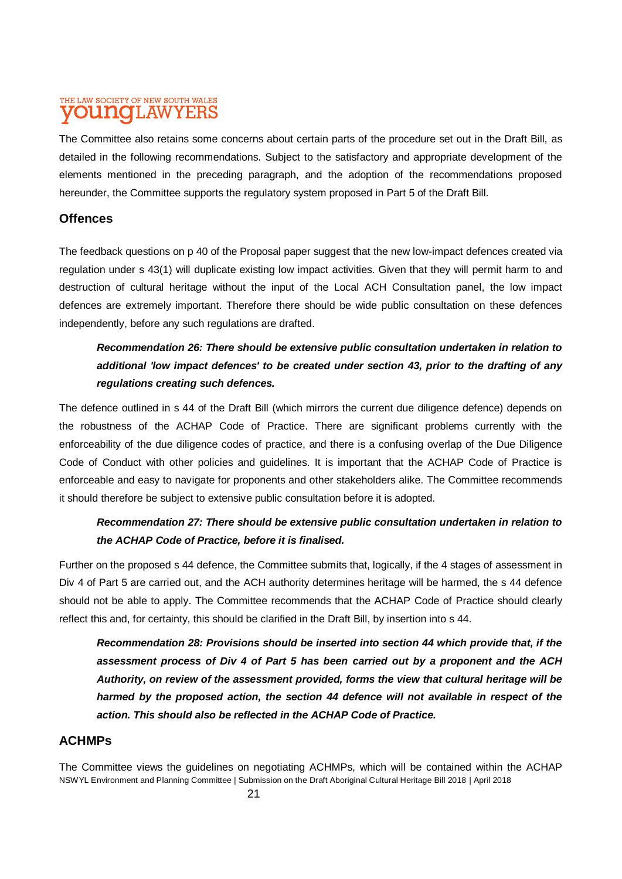The Committee also retains some concerns about certain parts of the procedure set out in the Draft Bill, as detailed in the following recommendations. Subject to the satisfactory and appropriate development of the elements mentioned in the preceding paragraph, and the adoption of the recommendations proposed hereunder, the Committee supports the regulatory system proposed in Part 5 of the Draft Bill.

#### **Offences**

The feedback questions on p 40 of the Proposal paper suggest that the new low-impact defences created via regulation under s 43(1) will duplicate existing low impact activities. Given that they will permit harm to and destruction of cultural heritage without the input of the Local ACH Consultation panel, the low impact defences are extremely important. Therefore there should be wide public consultation on these defences independently, before any such regulations are drafted.

### *Recommendation 26: There should be extensive public consultation undertaken in relation to additional 'low impact defences' to be created under section 43, prior to the drafting of any regulations creating such defences.*

The defence outlined in s 44 of the Draft Bill (which mirrors the current due diligence defence) depends on the robustness of the ACHAP Code of Practice. There are significant problems currently with the enforceability of the due diligence codes of practice, and there is a confusing overlap of the Due Diligence Code of Conduct with other policies and guidelines. It is important that the ACHAP Code of Practice is enforceable and easy to navigate for proponents and other stakeholders alike. The Committee recommends it should therefore be subject to extensive public consultation before it is adopted.

### *Recommendation 27: There should be extensive public consultation undertaken in relation to the ACHAP Code of Practice, before it is finalised.*

Further on the proposed s 44 defence, the Committee submits that, logically, if the 4 stages of assessment in Div 4 of Part 5 are carried out, and the ACH authority determines heritage will be harmed, the s 44 defence should not be able to apply. The Committee recommends that the ACHAP Code of Practice should clearly reflect this and, for certainty, this should be clarified in the Draft Bill, by insertion into s 44.

*Recommendation 28: Provisions should be inserted into section 44 which provide that, if the assessment process of Div 4 of Part 5 has been carried out by a proponent and the ACH Authority, on review of the assessment provided, forms the view that cultural heritage will be harmed by the proposed action, the section 44 defence will not available in respect of the action. This should also be reflected in the ACHAP Code of Practice.*

#### **ACHMPs**

NSWYL Environment and Planning Committee | Submission on the Draft Aboriginal Cultural Heritage Bill 2018 | April 2018 The Committee views the guidelines on negotiating ACHMPs, which will be contained within the ACHAP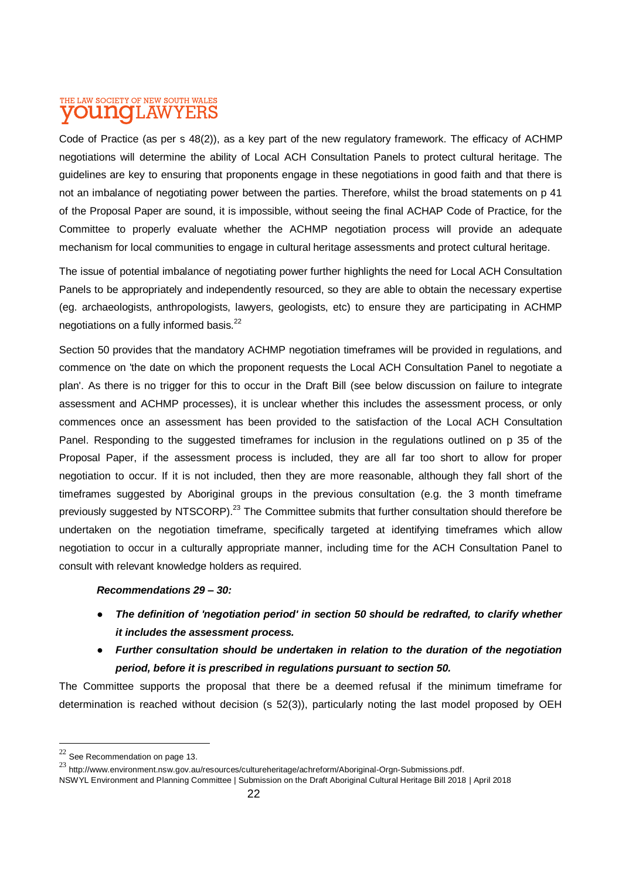Code of Practice (as per s 48(2)), as a key part of the new regulatory framework. The efficacy of ACHMP negotiations will determine the ability of Local ACH Consultation Panels to protect cultural heritage. The guidelines are key to ensuring that proponents engage in these negotiations in good faith and that there is not an imbalance of negotiating power between the parties. Therefore, whilst the broad statements on p 41 of the Proposal Paper are sound, it is impossible, without seeing the final ACHAP Code of Practice, for the Committee to properly evaluate whether the ACHMP negotiation process will provide an adequate mechanism for local communities to engage in cultural heritage assessments and protect cultural heritage.

The issue of potential imbalance of negotiating power further highlights the need for Local ACH Consultation Panels to be appropriately and independently resourced, so they are able to obtain the necessary expertise (eg. archaeologists, anthropologists, lawyers, geologists, etc) to ensure they are participating in ACHMP negotiations on a fully informed basis.<sup>22</sup>

Section 50 provides that the mandatory ACHMP negotiation timeframes will be provided in regulations, and commence on 'the date on which the proponent requests the Local ACH Consultation Panel to negotiate a plan'. As there is no trigger for this to occur in the Draft Bill (see below discussion on failure to integrate assessment and ACHMP processes), it is unclear whether this includes the assessment process, or only commences once an assessment has been provided to the satisfaction of the Local ACH Consultation Panel. Responding to the suggested timeframes for inclusion in the regulations outlined on p 35 of the Proposal Paper, if the assessment process is included, they are all far too short to allow for proper negotiation to occur. If it is not included, then they are more reasonable, although they fall short of the timeframes suggested by Aboriginal groups in the previous consultation (e.g. the 3 month timeframe previously suggested by NTSCORP).<sup>23</sup> The Committee submits that further consultation should therefore be undertaken on the negotiation timeframe, specifically targeted at identifying timeframes which allow negotiation to occur in a culturally appropriate manner, including time for the ACH Consultation Panel to consult with relevant knowledge holders as required.

#### *Recommendations 29 – 30:*

- *The definition of 'negotiation period' in section 50 should be redrafted, to clarify whether it includes the assessment process.*
- *Further consultation should be undertaken in relation to the duration of the negotiation period, before it is prescribed in regulations pursuant to section 50.*

The Committee supports the proposal that there be a deemed refusal if the minimum timeframe for determination is reached without decision (s 52(3)), particularly noting the last model proposed by OEH

 $\overline{a}$ 

 $22$  See Recommendation on page 13.

<sup>23</sup> [http://www.environment.nsw.gov.au/resources/cultureheritage/achreform/Aboriginal-Orgn-Submissions.pdf.](http://www.environment.nsw.gov.au/resources/cultureheritage/achreform/Aboriginal-Orgn-Submissions.pdf) 

NSWYL Environment and Planning Committee | Submission on the Draft Aboriginal Cultural Heritage Bill 2018 | April 2018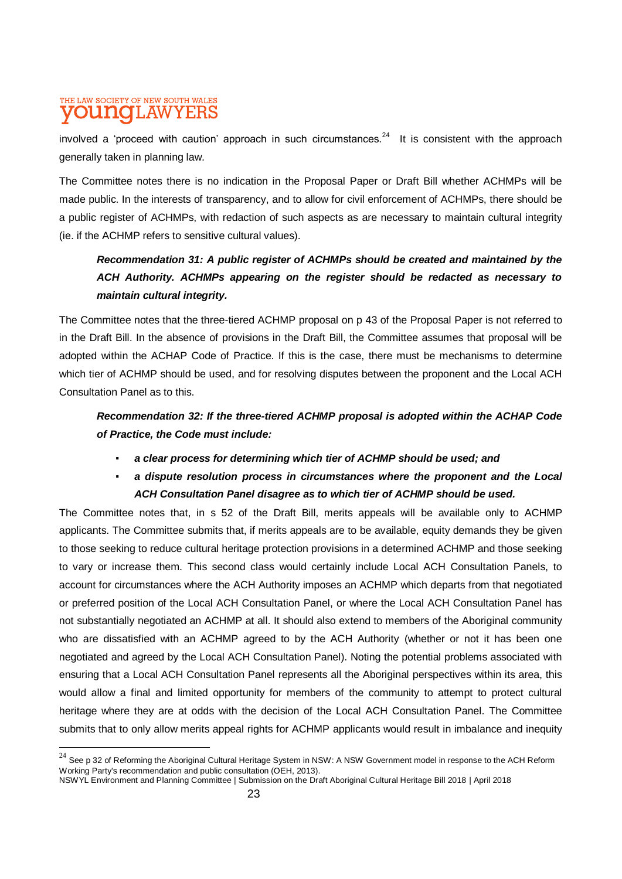involved a 'proceed with caution' approach in such circumstances.<sup>24</sup> It is consistent with the approach generally taken in planning law.

The Committee notes there is no indication in the Proposal Paper or Draft Bill whether ACHMPs will be made public. In the interests of transparency, and to allow for civil enforcement of ACHMPs, there should be a public register of ACHMPs, with redaction of such aspects as are necessary to maintain cultural integrity (ie. if the ACHMP refers to sensitive cultural values).

### *Recommendation 31: A public register of ACHMPs should be created and maintained by the ACH Authority. ACHMPs appearing on the register should be redacted as necessary to maintain cultural integrity.*

The Committee notes that the three-tiered ACHMP proposal on p 43 of the Proposal Paper is not referred to in the Draft Bill. In the absence of provisions in the Draft Bill, the Committee assumes that proposal will be adopted within the ACHAP Code of Practice. If this is the case, there must be mechanisms to determine which tier of ACHMP should be used, and for resolving disputes between the proponent and the Local ACH Consultation Panel as to this.

*Recommendation 32: If the three-tiered ACHMP proposal is adopted within the ACHAP Code of Practice, the Code must include:*

- a clear process for determining which tier of ACHMP should be used; and
- *a dispute resolution process in circumstances where the proponent and the Local ACH Consultation Panel disagree as to which tier of ACHMP should be used.*

The Committee notes that, in s 52 of the Draft Bill, merits appeals will be available only to ACHMP applicants. The Committee submits that, if merits appeals are to be available, equity demands they be given to those seeking to reduce cultural heritage protection provisions in a determined ACHMP and those seeking to vary or increase them. This second class would certainly include Local ACH Consultation Panels, to account for circumstances where the ACH Authority imposes an ACHMP which departs from that negotiated or preferred position of the Local ACH Consultation Panel, or where the Local ACH Consultation Panel has not substantially negotiated an ACHMP at all. It should also extend to members of the Aboriginal community who are dissatisfied with an ACHMP agreed to by the ACH Authority (whether or not it has been one negotiated and agreed by the Local ACH Consultation Panel). Noting the potential problems associated with ensuring that a Local ACH Consultation Panel represents all the Aboriginal perspectives within its area, this would allow a final and limited opportunity for members of the community to attempt to protect cultural heritage where they are at odds with the decision of the Local ACH Consultation Panel. The Committee submits that to only allow merits appeal rights for ACHMP applicants would result in imbalance and inequity

l

 $^{24}$  See p 32 of Reforming the Aboriginal Cultural Heritage System in NSW: A NSW Government model in response to the ACH Reform Working Party's recommendation and public consultation (OEH, 2013).

NSWYL Environment and Planning Committee | Submission on the Draft Aboriginal Cultural Heritage Bill 2018 | April 2018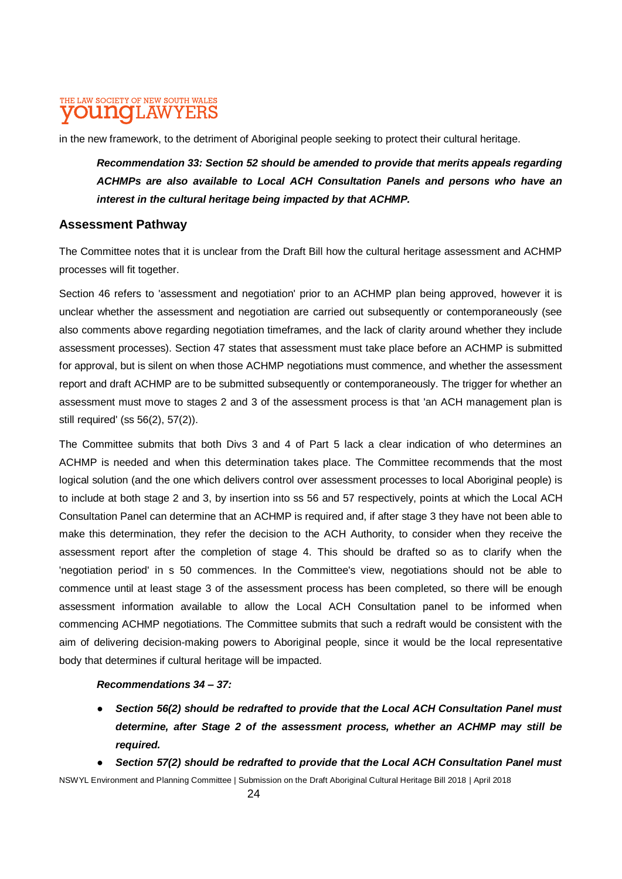in the new framework, to the detriment of Aboriginal people seeking to protect their cultural heritage.

*Recommendation 33: Section 52 should be amended to provide that merits appeals regarding ACHMPs are also available to Local ACH Consultation Panels and persons who have an interest in the cultural heritage being impacted by that ACHMP.* 

#### **Assessment Pathway**

The Committee notes that it is unclear from the Draft Bill how the cultural heritage assessment and ACHMP processes will fit together.

Section 46 refers to 'assessment and negotiation' prior to an ACHMP plan being approved, however it is unclear whether the assessment and negotiation are carried out subsequently or contemporaneously (see also comments above regarding negotiation timeframes, and the lack of clarity around whether they include assessment processes). Section 47 states that assessment must take place before an ACHMP is submitted for approval, but is silent on when those ACHMP negotiations must commence, and whether the assessment report and draft ACHMP are to be submitted subsequently or contemporaneously. The trigger for whether an assessment must move to stages 2 and 3 of the assessment process is that 'an ACH management plan is still required' (ss 56(2), 57(2)).

The Committee submits that both Divs 3 and 4 of Part 5 lack a clear indication of who determines an ACHMP is needed and when this determination takes place. The Committee recommends that the most logical solution (and the one which delivers control over assessment processes to local Aboriginal people) is to include at both stage 2 and 3, by insertion into ss 56 and 57 respectively, points at which the Local ACH Consultation Panel can determine that an ACHMP is required and, if after stage 3 they have not been able to make this determination, they refer the decision to the ACH Authority, to consider when they receive the assessment report after the completion of stage 4. This should be drafted so as to clarify when the 'negotiation period' in s 50 commences. In the Committee's view, negotiations should not be able to commence until at least stage 3 of the assessment process has been completed, so there will be enough assessment information available to allow the Local ACH Consultation panel to be informed when commencing ACHMP negotiations. The Committee submits that such a redraft would be consistent with the aim of delivering decision-making powers to Aboriginal people, since it would be the local representative body that determines if cultural heritage will be impacted.

#### *Recommendations 34 – 37:*

● *Section 56(2) should be redrafted to provide that the Local ACH Consultation Panel must determine, after Stage 2 of the assessment process, whether an ACHMP may still be required.*

● *Section 57(2) should be redrafted to provide that the Local ACH Consultation Panel must*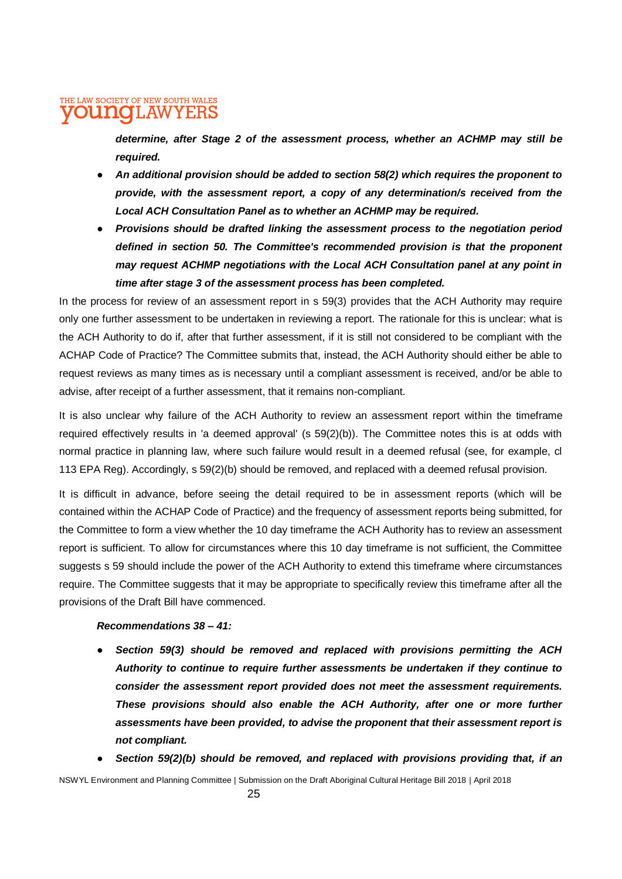*determine, after Stage 2 of the assessment process, whether an ACHMP may still be required.*

- *An additional provision should be added to section 58(2) which requires the proponent to provide, with the assessment report, a copy of any determination/s received from the Local ACH Consultation Panel as to whether an ACHMP may be required.*
- *Provisions should be drafted linking the assessment process to the negotiation period defined in section 50. The Committee's recommended provision is that the proponent may request ACHMP negotiations with the Local ACH Consultation panel at any point in time after stage 3 of the assessment process has been completed.*

In the process for review of an assessment report in s 59(3) provides that the ACH Authority may require only one further assessment to be undertaken in reviewing a report. The rationale for this is unclear: what is the ACH Authority to do if, after that further assessment, if it is still not considered to be compliant with the ACHAP Code of Practice? The Committee submits that, instead, the ACH Authority should either be able to request reviews as many times as is necessary until a compliant assessment is received, and/or be able to advise, after receipt of a further assessment, that it remains non-compliant.

It is also unclear why failure of the ACH Authority to review an assessment report within the timeframe required effectively results in 'a deemed approval' (s 59(2)(b)). The Committee notes this is at odds with normal practice in planning law, where such failure would result in a deemed refusal (see, for example, cl 113 EPA Reg). Accordingly, s 59(2)(b) should be removed, and replaced with a deemed refusal provision.

It is difficult in advance, before seeing the detail required to be in assessment reports (which will be contained within the ACHAP Code of Practice) and the frequency of assessment reports being submitted, for the Committee to form a view whether the 10 day timeframe the ACH Authority has to review an assessment report is sufficient. To allow for circumstances where this 10 day timeframe is not sufficient, the Committee suggests s 59 should include the power of the ACH Authority to extend this timeframe where circumstances require. The Committee suggests that it may be appropriate to specifically review this timeframe after all the provisions of the Draft Bill have commenced.

#### *Recommendations 38 – 41:*

- Section 59(3) should be removed and replaced with provisions permitting the ACH *Authority to continue to require further assessments be undertaken if they continue to consider the assessment report provided does not meet the assessment requirements. These provisions should also enable the ACH Authority, after one or more further assessments have been provided, to advise the proponent that their assessment report is not compliant.*
- Section 59(2)(b) should be removed, and replaced with provisions providing that, if an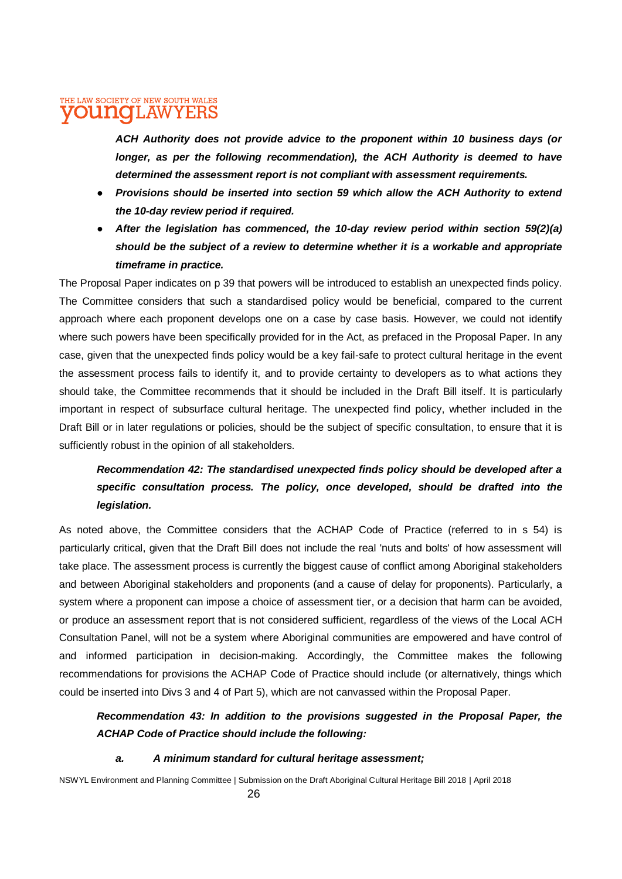*ACH Authority does not provide advice to the proponent within 10 business days (or longer, as per the following recommendation), the ACH Authority is deemed to have determined the assessment report is not compliant with assessment requirements.* 

- *Provisions should be inserted into section 59 which allow the ACH Authority to extend the 10-day review period if required.*
- *After the legislation has commenced, the 10-day review period within section 59(2)(a) should be the subject of a review to determine whether it is a workable and appropriate timeframe in practice.*

The Proposal Paper indicates on p 39 that powers will be introduced to establish an unexpected finds policy. The Committee considers that such a standardised policy would be beneficial, compared to the current approach where each proponent develops one on a case by case basis. However, we could not identify where such powers have been specifically provided for in the Act, as prefaced in the Proposal Paper. In any case, given that the unexpected finds policy would be a key fail-safe to protect cultural heritage in the event the assessment process fails to identify it, and to provide certainty to developers as to what actions they should take, the Committee recommends that it should be included in the Draft Bill itself. It is particularly important in respect of subsurface cultural heritage. The unexpected find policy, whether included in the Draft Bill or in later regulations or policies, should be the subject of specific consultation, to ensure that it is sufficiently robust in the opinion of all stakeholders.

### *Recommendation 42: The standardised unexpected finds policy should be developed after a specific consultation process. The policy, once developed, should be drafted into the legislation.*

As noted above, the Committee considers that the ACHAP Code of Practice (referred to in s 54) is particularly critical, given that the Draft Bill does not include the real 'nuts and bolts' of how assessment will take place. The assessment process is currently the biggest cause of conflict among Aboriginal stakeholders and between Aboriginal stakeholders and proponents (and a cause of delay for proponents). Particularly, a system where a proponent can impose a choice of assessment tier, or a decision that harm can be avoided, or produce an assessment report that is not considered sufficient, regardless of the views of the Local ACH Consultation Panel, will not be a system where Aboriginal communities are empowered and have control of and informed participation in decision-making. Accordingly, the Committee makes the following recommendations for provisions the ACHAP Code of Practice should include (or alternatively, things which could be inserted into Divs 3 and 4 of Part 5), which are not canvassed within the Proposal Paper.

#### *Recommendation 43: In addition to the provisions suggested in the Proposal Paper, the ACHAP Code of Practice should include the following:*

#### *a. A minimum standard for cultural heritage assessment;*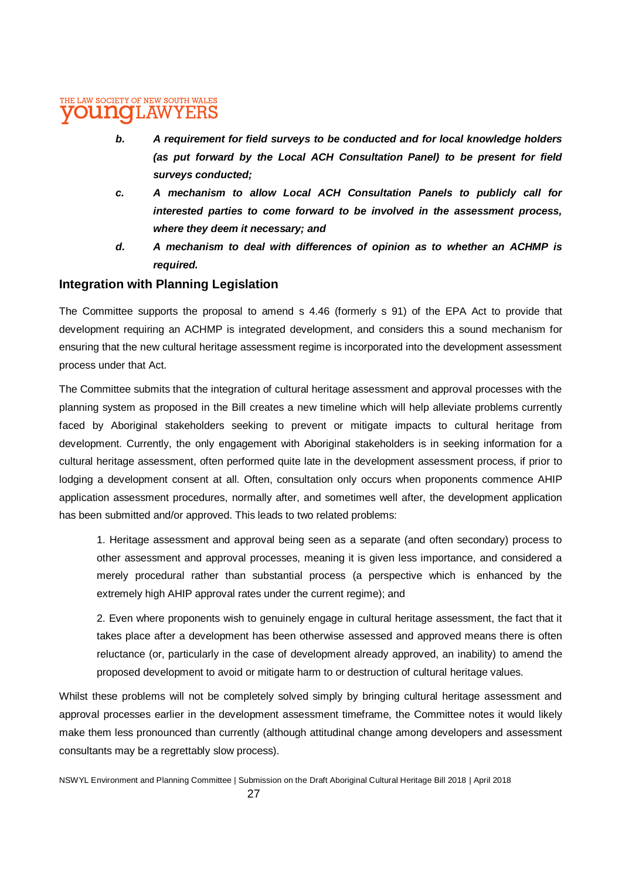- *b. A requirement for field surveys to be conducted and for local knowledge holders (as put forward by the Local ACH Consultation Panel) to be present for field surveys conducted;*
- *c. A mechanism to allow Local ACH Consultation Panels to publicly call for interested parties to come forward to be involved in the assessment process, where they deem it necessary; and*
- *d. A mechanism to deal with differences of opinion as to whether an ACHMP is required.*

#### **Integration with Planning Legislation**

The Committee supports the proposal to amend s 4.46 (formerly s 91) of the EPA Act to provide that development requiring an ACHMP is integrated development, and considers this a sound mechanism for ensuring that the new cultural heritage assessment regime is incorporated into the development assessment process under that Act.

The Committee submits that the integration of cultural heritage assessment and approval processes with the planning system as proposed in the Bill creates a new timeline which will help alleviate problems currently faced by Aboriginal stakeholders seeking to prevent or mitigate impacts to cultural heritage from development. Currently, the only engagement with Aboriginal stakeholders is in seeking information for a cultural heritage assessment, often performed quite late in the development assessment process, if prior to lodging a development consent at all. Often, consultation only occurs when proponents commence AHIP application assessment procedures, normally after, and sometimes well after, the development application has been submitted and/or approved. This leads to two related problems:

1. Heritage assessment and approval being seen as a separate (and often secondary) process to other assessment and approval processes, meaning it is given less importance, and considered a merely procedural rather than substantial process (a perspective which is enhanced by the extremely high AHIP approval rates under the current regime); and

2. Even where proponents wish to genuinely engage in cultural heritage assessment, the fact that it takes place after a development has been otherwise assessed and approved means there is often reluctance (or, particularly in the case of development already approved, an inability) to amend the proposed development to avoid or mitigate harm to or destruction of cultural heritage values.

Whilst these problems will not be completely solved simply by bringing cultural heritage assessment and approval processes earlier in the development assessment timeframe, the Committee notes it would likely make them less pronounced than currently (although attitudinal change among developers and assessment consultants may be a regrettably slow process).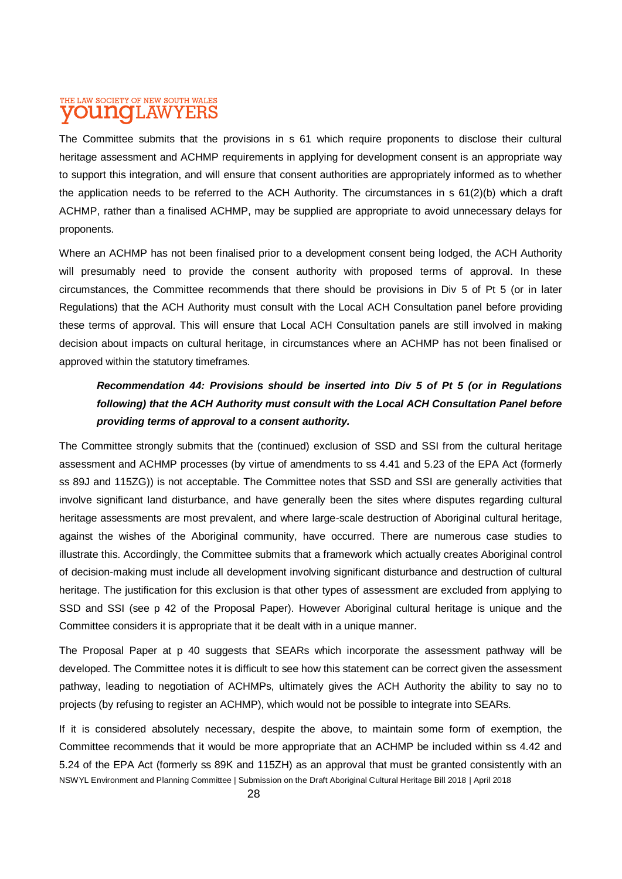The Committee submits that the provisions in s 61 which require proponents to disclose their cultural heritage assessment and ACHMP requirements in applying for development consent is an appropriate way to support this integration, and will ensure that consent authorities are appropriately informed as to whether the application needs to be referred to the ACH Authority. The circumstances in s 61(2)(b) which a draft ACHMP, rather than a finalised ACHMP, may be supplied are appropriate to avoid unnecessary delays for proponents.

Where an ACHMP has not been finalised prior to a development consent being lodged, the ACH Authority will presumably need to provide the consent authority with proposed terms of approval. In these circumstances, the Committee recommends that there should be provisions in Div 5 of Pt 5 (or in later Regulations) that the ACH Authority must consult with the Local ACH Consultation panel before providing these terms of approval. This will ensure that Local ACH Consultation panels are still involved in making decision about impacts on cultural heritage, in circumstances where an ACHMP has not been finalised or approved within the statutory timeframes.

### *Recommendation 44: Provisions should be inserted into Div 5 of Pt 5 (or in Regulations following) that the ACH Authority must consult with the Local ACH Consultation Panel before providing terms of approval to a consent authority.*

The Committee strongly submits that the (continued) exclusion of SSD and SSI from the cultural heritage assessment and ACHMP processes (by virtue of amendments to ss 4.41 and 5.23 of the EPA Act (formerly ss 89J and 115ZG)) is not acceptable. The Committee notes that SSD and SSI are generally activities that involve significant land disturbance, and have generally been the sites where disputes regarding cultural heritage assessments are most prevalent, and where large-scale destruction of Aboriginal cultural heritage, against the wishes of the Aboriginal community, have occurred. There are numerous case studies to illustrate this. Accordingly, the Committee submits that a framework which actually creates Aboriginal control of decision-making must include all development involving significant disturbance and destruction of cultural heritage. The justification for this exclusion is that other types of assessment are excluded from applying to SSD and SSI (see p 42 of the Proposal Paper). However Aboriginal cultural heritage is unique and the Committee considers it is appropriate that it be dealt with in a unique manner.

The Proposal Paper at p 40 suggests that SEARs which incorporate the assessment pathway will be developed. The Committee notes it is difficult to see how this statement can be correct given the assessment pathway, leading to negotiation of ACHMPs, ultimately gives the ACH Authority the ability to say no to projects (by refusing to register an ACHMP), which would not be possible to integrate into SEARs.

NSWYL Environment and Planning Committee | Submission on the Draft Aboriginal Cultural Heritage Bill 2018 | April 2018 If it is considered absolutely necessary, despite the above, to maintain some form of exemption, the Committee recommends that it would be more appropriate that an ACHMP be included within ss 4.42 and 5.24 of the EPA Act (formerly ss 89K and 115ZH) as an approval that must be granted consistently with an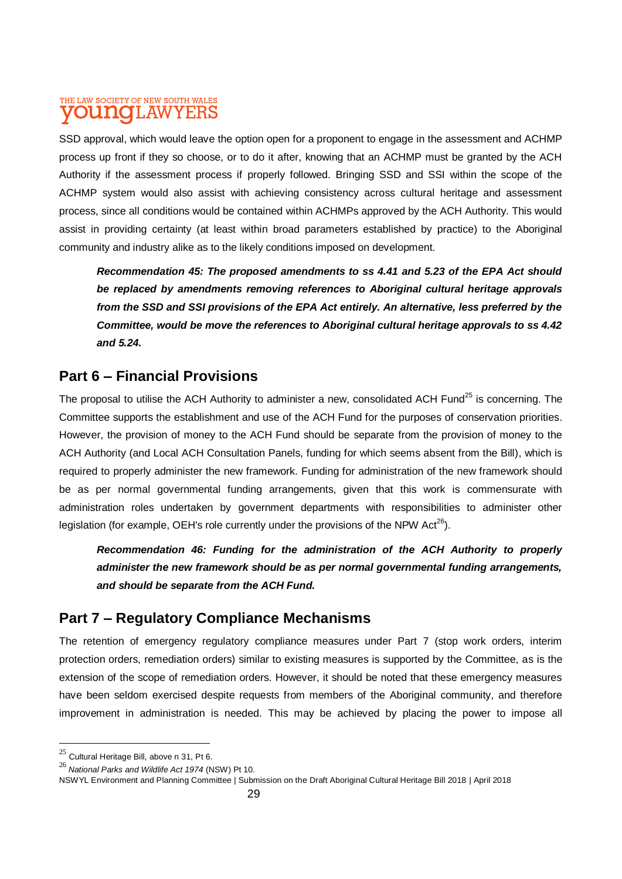SSD approval, which would leave the option open for a proponent to engage in the assessment and ACHMP process up front if they so choose, or to do it after, knowing that an ACHMP must be granted by the ACH Authority if the assessment process if properly followed. Bringing SSD and SSI within the scope of the ACHMP system would also assist with achieving consistency across cultural heritage and assessment process, since all conditions would be contained within ACHMPs approved by the ACH Authority. This would assist in providing certainty (at least within broad parameters established by practice) to the Aboriginal community and industry alike as to the likely conditions imposed on development.

*Recommendation 45: The proposed amendments to ss 4.41 and 5.23 of the EPA Act should be replaced by amendments removing references to Aboriginal cultural heritage approvals from the SSD and SSI provisions of the EPA Act entirely. An alternative, less preferred by the Committee, would be move the references to Aboriginal cultural heritage approvals to ss 4.42 and 5.24.*

### **Part 6 – Financial Provisions**

The proposal to utilise the ACH Authority to administer a new, consolidated ACH Fund<sup>25</sup> is concerning. The Committee supports the establishment and use of the ACH Fund for the purposes of conservation priorities. However, the provision of money to the ACH Fund should be separate from the provision of money to the ACH Authority (and Local ACH Consultation Panels, funding for which seems absent from the Bill), which is required to properly administer the new framework. Funding for administration of the new framework should be as per normal governmental funding arrangements, given that this work is commensurate with administration roles undertaken by government departments with responsibilities to administer other legislation (for example, OEH's role currently under the provisions of the NPW Act<sup>26</sup>).

*Recommendation 46: Funding for the administration of the ACH Authority to properly administer the new framework should be as per normal governmental funding arrangements, and should be separate from the ACH Fund.*

## **Part 7 – Regulatory Compliance Mechanisms**

The retention of emergency regulatory compliance measures under Part 7 (stop work orders, interim protection orders, remediation orders) similar to existing measures is supported by the Committee, as is the extension of the scope of remediation orders. However, it should be noted that these emergency measures have been seldom exercised despite requests from members of the Aboriginal community, and therefore improvement in administration is needed. This may be achieved by placing the power to impose all

 $\overline{a}$ 

 $25$  Cultural Heritage Bill, above n 31, Pt 6.

<sup>26</sup> *National Parks and Wildlife Act 1974* (NSW) Pt 10.

NSWYL Environment and Planning Committee | Submission on the Draft Aboriginal Cultural Heritage Bill 2018 | April 2018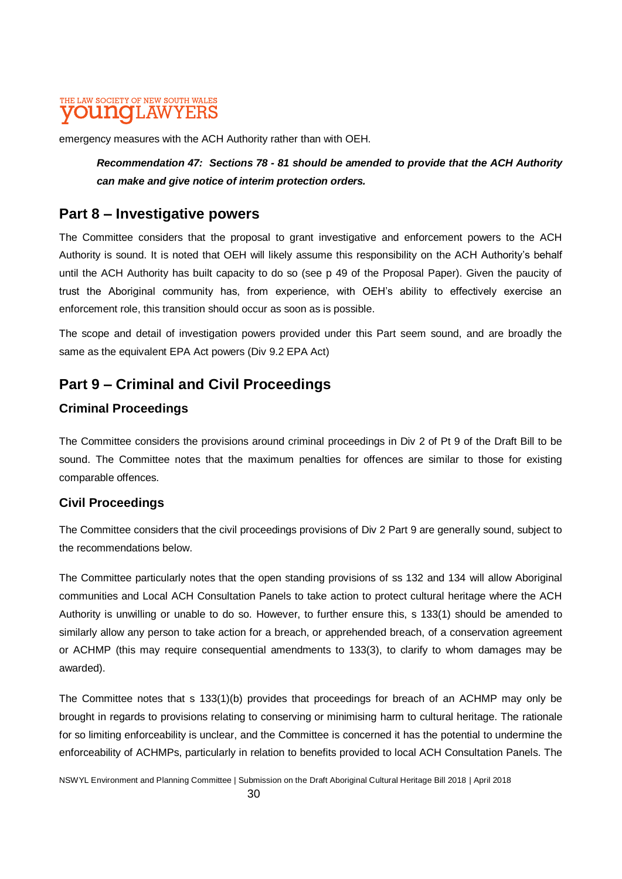emergency measures with the ACH Authority rather than with OEH.

*Recommendation 47: Sections 78 - 81 should be amended to provide that the ACH Authority can make and give notice of interim protection orders.*

### **Part 8 – Investigative powers**

The Committee considers that the proposal to grant investigative and enforcement powers to the ACH Authority is sound. It is noted that OEH will likely assume this responsibility on the ACH Authority's behalf until the ACH Authority has built capacity to do so (see p 49 of the Proposal Paper). Given the paucity of trust the Aboriginal community has, from experience, with OEH's ability to effectively exercise an enforcement role, this transition should occur as soon as is possible.

The scope and detail of investigation powers provided under this Part seem sound, and are broadly the same as the equivalent EPA Act powers (Div 9.2 EPA Act)

# **Part 9 – Criminal and Civil Proceedings**

### **Criminal Proceedings**

The Committee considers the provisions around criminal proceedings in Div 2 of Pt 9 of the Draft Bill to be sound. The Committee notes that the maximum penalties for offences are similar to those for existing comparable offences.

#### **Civil Proceedings**

The Committee considers that the civil proceedings provisions of Div 2 Part 9 are generally sound, subject to the recommendations below.

The Committee particularly notes that the open standing provisions of ss 132 and 134 will allow Aboriginal communities and Local ACH Consultation Panels to take action to protect cultural heritage where the ACH Authority is unwilling or unable to do so. However, to further ensure this, s 133(1) should be amended to similarly allow any person to take action for a breach, or apprehended breach, of a conservation agreement or ACHMP (this may require consequential amendments to 133(3), to clarify to whom damages may be awarded).

The Committee notes that s 133(1)(b) provides that proceedings for breach of an ACHMP may only be brought in regards to provisions relating to conserving or minimising harm to cultural heritage. The rationale for so limiting enforceability is unclear, and the Committee is concerned it has the potential to undermine the enforceability of ACHMPs, particularly in relation to benefits provided to local ACH Consultation Panels. The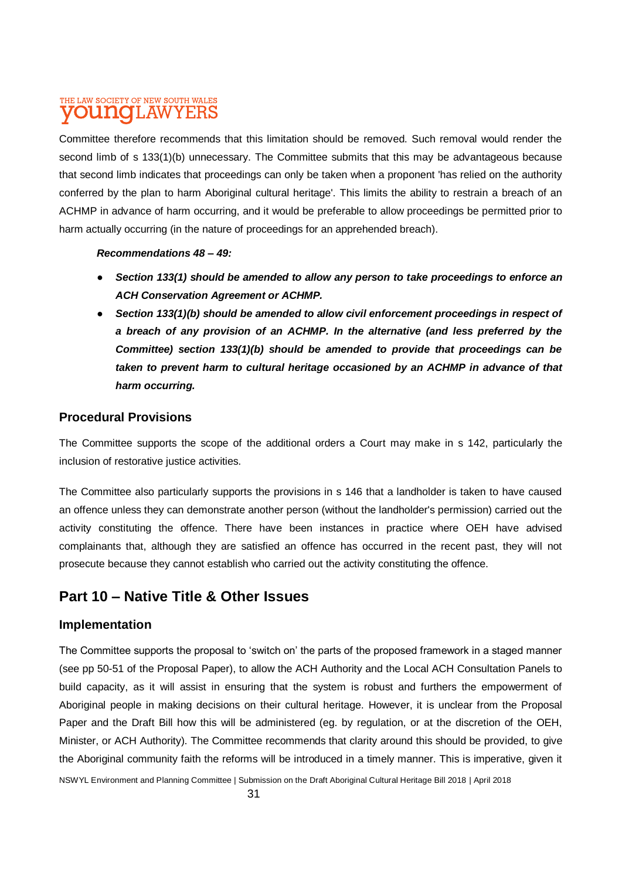Committee therefore recommends that this limitation should be removed. Such removal would render the second limb of s 133(1)(b) unnecessary. The Committee submits that this may be advantageous because that second limb indicates that proceedings can only be taken when a proponent 'has relied on the authority conferred by the plan to harm Aboriginal cultural heritage'. This limits the ability to restrain a breach of an ACHMP in advance of harm occurring, and it would be preferable to allow proceedings be permitted prior to harm actually occurring (in the nature of proceedings for an apprehended breach).

#### *Recommendations 48 – 49:*

- *Section 133(1) should be amended to allow any person to take proceedings to enforce an ACH Conservation Agreement or ACHMP.*
- Section 133(1)(b) should be amended to allow civil enforcement proceedings in respect of *a breach of any provision of an ACHMP. In the alternative (and less preferred by the Committee) section 133(1)(b) should be amended to provide that proceedings can be*  taken to prevent harm to cultural heritage occasioned by an ACHMP in advance of that *harm occurring.*

#### **Procedural Provisions**

The Committee supports the scope of the additional orders a Court may make in s 142, particularly the inclusion of restorative justice activities.

The Committee also particularly supports the provisions in s 146 that a landholder is taken to have caused an offence unless they can demonstrate another person (without the landholder's permission) carried out the activity constituting the offence. There have been instances in practice where OEH have advised complainants that, although they are satisfied an offence has occurred in the recent past, they will not prosecute because they cannot establish who carried out the activity constituting the offence.

### **Part 10 – Native Title & Other Issues**

#### **Implementation**

The Committee supports the proposal to 'switch on' the parts of the proposed framework in a staged manner (see pp 50-51 of the Proposal Paper), to allow the ACH Authority and the Local ACH Consultation Panels to build capacity, as it will assist in ensuring that the system is robust and furthers the empowerment of Aboriginal people in making decisions on their cultural heritage. However, it is unclear from the Proposal Paper and the Draft Bill how this will be administered (eg. by regulation, or at the discretion of the OEH, Minister, or ACH Authority). The Committee recommends that clarity around this should be provided, to give the Aboriginal community faith the reforms will be introduced in a timely manner. This is imperative, given it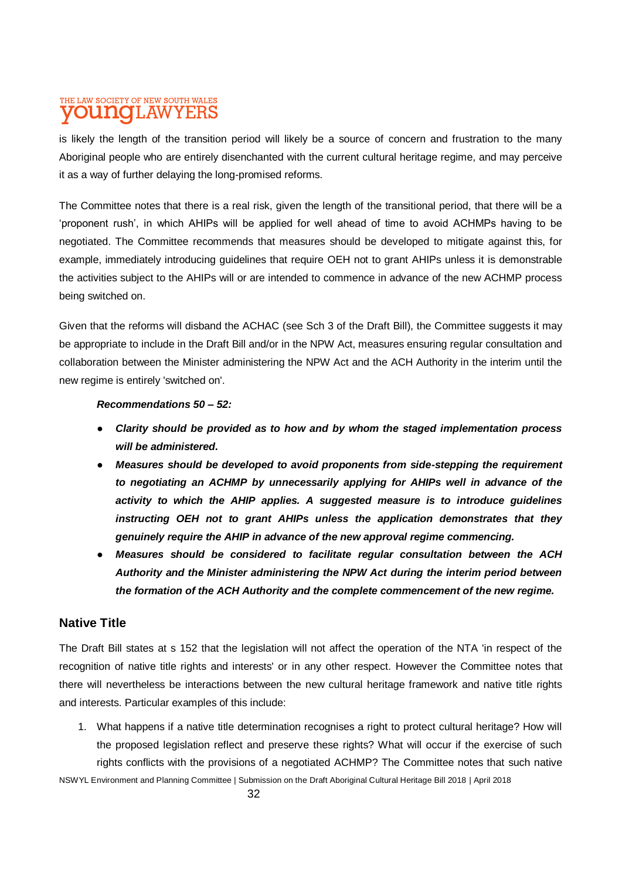is likely the length of the transition period will likely be a source of concern and frustration to the many Aboriginal people who are entirely disenchanted with the current cultural heritage regime, and may perceive it as a way of further delaying the long-promised reforms.

The Committee notes that there is a real risk, given the length of the transitional period, that there will be a 'proponent rush', in which AHIPs will be applied for well ahead of time to avoid ACHMPs having to be negotiated. The Committee recommends that measures should be developed to mitigate against this, for example, immediately introducing guidelines that require OEH not to grant AHIPs unless it is demonstrable the activities subject to the AHIPs will or are intended to commence in advance of the new ACHMP process being switched on.

Given that the reforms will disband the ACHAC (see Sch 3 of the Draft Bill), the Committee suggests it may be appropriate to include in the Draft Bill and/or in the NPW Act, measures ensuring regular consultation and collaboration between the Minister administering the NPW Act and the ACH Authority in the interim until the new regime is entirely 'switched on'.

#### *Recommendations 50 – 52:*

- *Clarity should be provided as to how and by whom the staged implementation process will be administered.*
- *Measures should be developed to avoid proponents from side-stepping the requirement to negotiating an ACHMP by unnecessarily applying for AHIPs well in advance of the activity to which the AHIP applies. A suggested measure is to introduce guidelines instructing OEH not to grant AHIPs unless the application demonstrates that they genuinely require the AHIP in advance of the new approval regime commencing.*
- *Measures should be considered to facilitate regular consultation between the ACH Authority and the Minister administering the NPW Act during the interim period between the formation of the ACH Authority and the complete commencement of the new regime.*

#### **Native Title**

The Draft Bill states at s 152 that the legislation will not affect the operation of the NTA 'in respect of the recognition of native title rights and interests' or in any other respect. However the Committee notes that there will nevertheless be interactions between the new cultural heritage framework and native title rights and interests. Particular examples of this include:

NSWYL Environment and Planning Committee | Submission on the Draft Aboriginal Cultural Heritage Bill 2018 | April 2018 1. What happens if a native title determination recognises a right to protect cultural heritage? How will the proposed legislation reflect and preserve these rights? What will occur if the exercise of such rights conflicts with the provisions of a negotiated ACHMP? The Committee notes that such native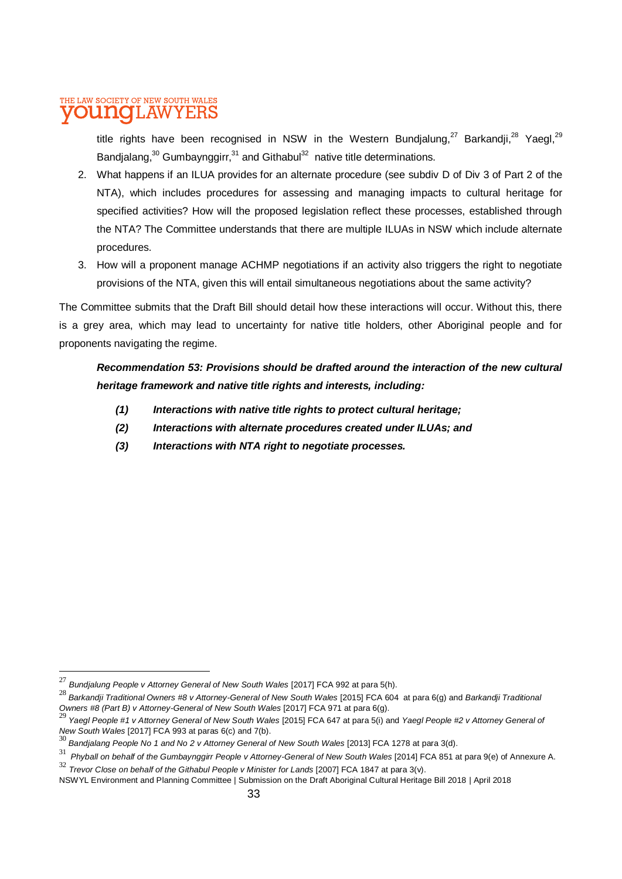title rights have been recognised in NSW in the Western Bundjalung,<sup>27</sup> Barkandji,<sup>28</sup> Yaegl,<sup>29</sup> Bandjalang, $^{30}$  Gumbaynggirr, $^{31}$  and Githabul $^{32}$  native title determinations.

- 2. What happens if an ILUA provides for an alternate procedure (see subdiv D of Div 3 of Part 2 of the NTA), which includes procedures for assessing and managing impacts to cultural heritage for specified activities? How will the proposed legislation reflect these processes, established through the NTA? The Committee understands that there are multiple ILUAs in NSW which include alternate procedures.
- 3. How will a proponent manage ACHMP negotiations if an activity also triggers the right to negotiate provisions of the NTA, given this will entail simultaneous negotiations about the same activity?

The Committee submits that the Draft Bill should detail how these interactions will occur. Without this, there is a grey area, which may lead to uncertainty for native title holders, other Aboriginal people and for proponents navigating the regime.

*Recommendation 53: Provisions should be drafted around the interaction of the new cultural heritage framework and native title rights and interests, including:*

- *(1) Interactions with native title rights to protect cultural heritage;*
- *(2) Interactions with alternate procedures created under ILUAs; and*
- *(3) Interactions with NTA right to negotiate processes.*

l

<sup>27</sup> *Bundjalung People v Attorney General of New South Wales* [2017] FCA 992 at para 5(h).

<sup>28</sup> *Barkandji Traditional Owners #8 v Attorney-General of New South Wales* [2015] FCA 604 at para 6(g) and *Barkandji Traditional* 

Owners #8 (Part B) v Attorney-General of New South Wales [2017] FCA 971 at para 6(g).<br><sup>29</sup> Yaegl People #1 v Attorney General of New South Wales [2015] FCA 647 at para 5(i) and Yaegl People #2 v Attorney General of

*New South Wales* [2017] FCA 993 at paras 6(c) and 7(b). <sup>30</sup> *Bandjalang People No 1 and No 2 v Attorney General of New South Wales* [2013] FCA 1278 at para 3(d).

<sup>31</sup> *Phyball on behalf of the Gumbaynggirr People v Attorney-General of New South Wales* [2014] FCA 851 at para 9(e) of Annexure A.

<sup>32</sup> *Trevor Close on behalf of the Githabul People v Minister for Lands* [2007] FCA 1847 at para 3(v).

NSWYL Environment and Planning Committee | Submission on the Draft Aboriginal Cultural Heritage Bill 2018 | April 2018